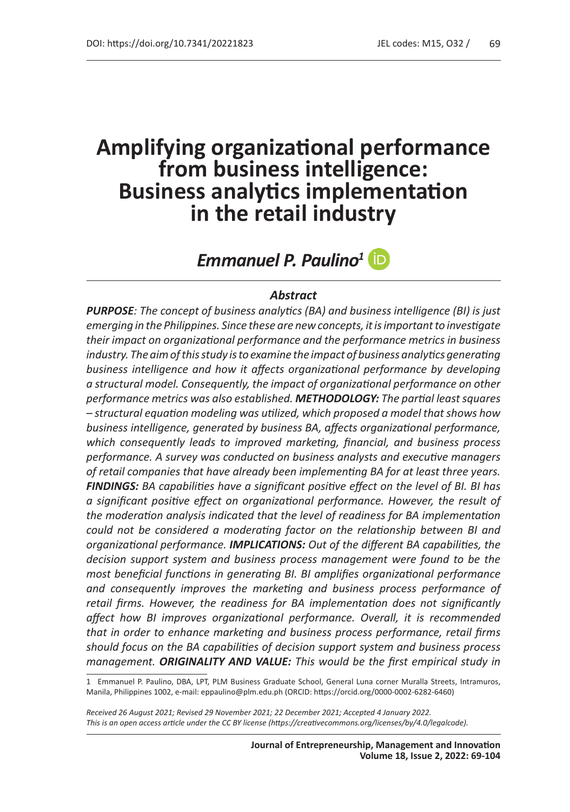# **Amplifying organizational performance from business intelligence: Business analytics implementation in the retail industry**

*Emmanuel P. Paulino<sup>1</sup>*

#### *Abstract*

*PURPOSE: The concept of business analytics (BA) and business intelligence (BI) is just emerging in the Philippines. Since these are new concepts, it is important to investigate their impact on organizational performance and the performance metrics in business industry. The aim of this study is to examine the impact of business analytics generating business intelligence and how it affects organizational performance by developing a structural model. Consequently, the impact of organizational performance on other performance metrics was also established. METHODOLOGY: The partial least squares – structural equation modeling was utilized, which proposed a model that shows how business intelligence, generated by business BA, affects organizational performance, which consequently leads to improved marketing, financial, and business process performance. A survey was conducted on business analysts and executive managers of retail companies that have already been implementing BA for at least three years. FINDINGS: BA capabilities have a significant positive effect on the level of BI. BI has a significant positive effect on organizational performance. However, the result of the moderation analysis indicated that the level of readiness for BA implementation could not be considered a moderating factor on the relationship between BI and organizational performance. IMPLICATIONS: Out of the different BA capabilities, the decision support system and business process management were found to be the most beneficial functions in generating BI. BI amplifies organizational performance and consequently improves the marketing and business process performance of retail firms. However, the readiness for BA implementation does not significantly affect how BI improves organizational performance. Overall, it is recommended that in order to enhance marketing and business process performance, retail firms should focus on the BA capabilities of decision support system and business process management. ORIGINALITY AND VALUE: This would be the first empirical study in* 

<sup>1</sup> Emmanuel P. Paulino, DBA, LPT, PLM Business Graduate School, General Luna corner Muralla Streets, Intramuros, Manila, Philippines 1002, e-mail: eppaulino@plm.edu.ph (ORCID: https://orcid.org/0000-0002-6282-6460)

*Received 26 August 2021; Revised 29 November 2021; 22 December 2021; Accepted 4 January 2022. This is an open access article under the CC BY license (https://creativecommons.org/licenses/by/4.0/legalcode).*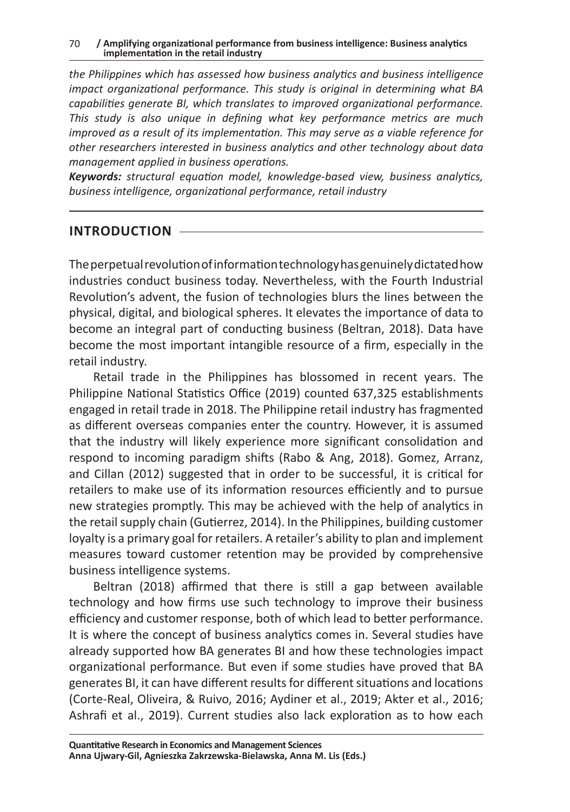*the Philippines which has assessed how business analytics and business intelligence impact organizational performance. This study is original in determining what BA capabilities generate BI, which translates to improved organizational performance. This study is also unique in defining what key performance metrics are much improved as a result of its implementation. This may serve as a viable reference for other researchers interested in business analytics and other technology about data management applied in business operations.*

*Keywords: structural equation model, knowledge-based view, business analytics, business intelligence, organizational performance, retail industry* 

#### **INTRODUCTION**

The perpetual revolution of information technology has genuinely dictated how industries conduct business today. Nevertheless, with the Fourth Industrial Revolution's advent, the fusion of technologies blurs the lines between the physical, digital, and biological spheres. It elevates the importance of data to become an integral part of conducting business (Beltran, 2018). Data have become the most important intangible resource of a firm, especially in the retail industry.

Retail trade in the Philippines has blossomed in recent years. The Philippine National Statistics Office (2019) counted 637,325 establishments engaged in retail trade in 2018. The Philippine retail industry has fragmented as different overseas companies enter the country. However, it is assumed that the industry will likely experience more significant consolidation and respond to incoming paradigm shifts (Rabo & Ang, 2018). Gomez, Arranz, and Cillan (2012) suggested that in order to be successful, it is critical for retailers to make use of its information resources efficiently and to pursue new strategies promptly. This may be achieved with the help of analytics in the retail supply chain (Gutierrez, 2014). In the Philippines, building customer loyalty is a primary goal for retailers. A retailer's ability to plan and implement measures toward customer retention may be provided by comprehensive business intelligence systems.

Beltran (2018) affirmed that there is still a gap between available technology and how firms use such technology to improve their business efficiency and customer response, both of which lead to better performance. It is where the concept of business analytics comes in. Several studies have already supported how BA generates BI and how these technologies impact organizational performance. But even if some studies have proved that BA generates BI, it can have different results for different situations and locations (Corte-Real, Oliveira, & Ruivo, 2016; Aydiner et al., 2019; Akter et al., 2016; Ashrafi et al., 2019). Current studies also lack exploration as to how each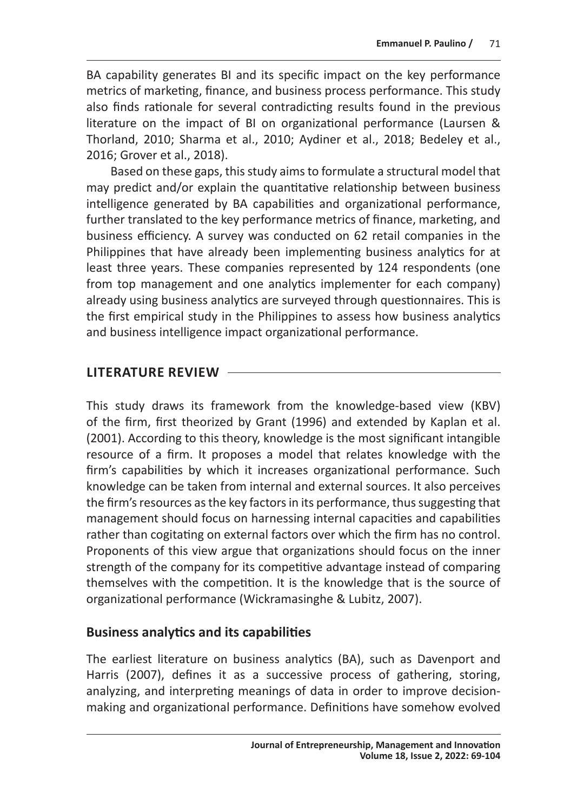BA capability generates BI and its specific impact on the key performance metrics of marketing, finance, and business process performance. This study also finds rationale for several contradicting results found in the previous literature on the impact of BI on organizational performance (Laursen & Thorland, 2010; Sharma et al., 2010; Aydiner et al., 2018; Bedeley et al., 2016; Grover et al., 2018).

Based on these gaps, this study aims to formulate a structural model that may predict and/or explain the quantitative relationship between business intelligence generated by BA capabilities and organizational performance, further translated to the key performance metrics of finance, marketing, and business efficiency. A survey was conducted on 62 retail companies in the Philippines that have already been implementing business analytics for at least three years. These companies represented by 124 respondents (one from top management and one analytics implementer for each company) already using business analytics are surveyed through questionnaires. This is the first empirical study in the Philippines to assess how business analytics and business intelligence impact organizational performance.

#### **LITERATURE REVIEW**

This study draws its framework from the knowledge-based view (KBV) of the firm, first theorized by Grant (1996) and extended by Kaplan et al. (2001). According to this theory, knowledge is the most significant intangible resource of a firm. It proposes a model that relates knowledge with the firm's capabilities by which it increases organizational performance. Such knowledge can be taken from internal and external sources. It also perceives the firm's resources as the key factors in its performance, thus suggesting that management should focus on harnessing internal capacities and capabilities rather than cogitating on external factors over which the firm has no control. Proponents of this view argue that organizations should focus on the inner strength of the company for its competitive advantage instead of comparing themselves with the competition. It is the knowledge that is the source of organizational performance (Wickramasinghe & Lubitz, 2007).

#### **Business analytics and its capabilities**

The earliest literature on business analytics (BA), such as Davenport and Harris (2007), defines it as a successive process of gathering, storing, analyzing, and interpreting meanings of data in order to improve decisionmaking and organizational performance. Definitions have somehow evolved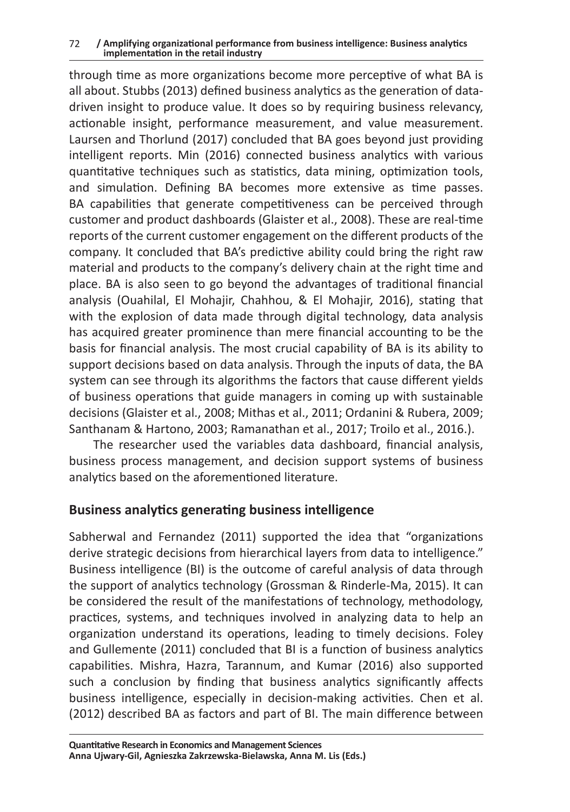#### 72 **/ Amplifying organizational performance from business intelligence: Business analytics implementation in the retail industry**

through time as more organizations become more perceptive of what BA is all about. Stubbs (2013) defined business analytics as the generation of datadriven insight to produce value. It does so by requiring business relevancy, actionable insight, performance measurement, and value measurement. Laursen and Thorlund (2017) concluded that BA goes beyond just providing intelligent reports. Min (2016) connected business analytics with various quantitative techniques such as statistics, data mining, optimization tools, and simulation. Defining BA becomes more extensive as time passes. BA capabilities that generate competitiveness can be perceived through customer and product dashboards (Glaister et al., 2008). These are real-time reports of the current customer engagement on the different products of the company. It concluded that BA's predictive ability could bring the right raw material and products to the company's delivery chain at the right time and place. BA is also seen to go beyond the advantages of traditional financial analysis (Ouahilal, El Mohajir, Chahhou, & El Mohajir, 2016), stating that with the explosion of data made through digital technology, data analysis has acquired greater prominence than mere financial accounting to be the basis for financial analysis. The most crucial capability of BA is its ability to support decisions based on data analysis. Through the inputs of data, the BA system can see through its algorithms the factors that cause different yields of business operations that guide managers in coming up with sustainable decisions (Glaister et al., 2008; Mithas et al., 2011; Ordanini & Rubera, 2009; Santhanam & Hartono, 2003; Ramanathan et al., 2017; Troilo et al., 2016.).

The researcher used the variables data dashboard, financial analysis, business process management, and decision support systems of business analytics based on the aforementioned literature.

#### **Business analytics generating business intelligence**

Sabherwal and Fernandez (2011) supported the idea that "organizations derive strategic decisions from hierarchical layers from data to intelligence." Business intelligence (BI) is the outcome of careful analysis of data through the support of analytics technology (Grossman & Rinderle-Ma, 2015). It can be considered the result of the manifestations of technology, methodology, practices, systems, and techniques involved in analyzing data to help an organization understand its operations, leading to timely decisions. Foley and Gullemente (2011) concluded that BI is a function of business analytics capabilities. Mishra, Hazra, Tarannum, and Kumar (2016) also supported such a conclusion by finding that business analytics significantly affects business intelligence, especially in decision-making activities. Chen et al. (2012) described BA as factors and part of BI. The main difference between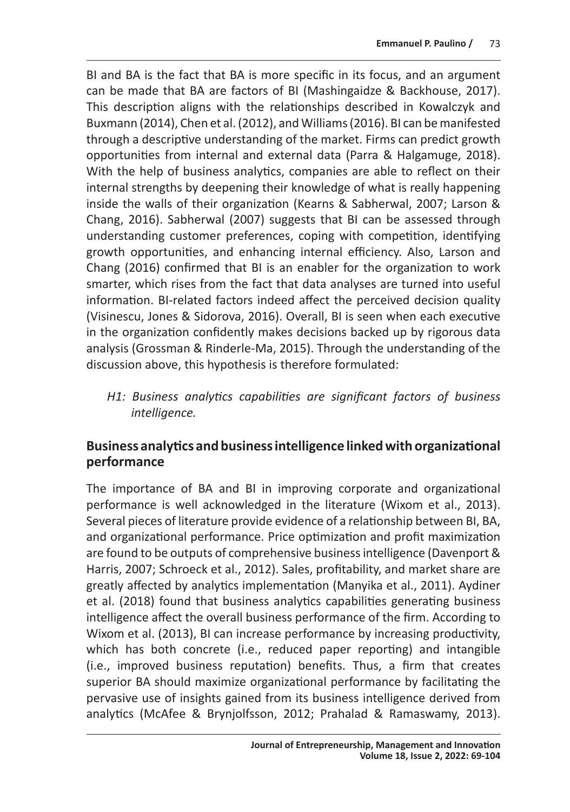BI and BA is the fact that BA is more specific in its focus, and an argument can be made that BA are factors of BI (Mashingaidze & Backhouse, 2017). This description aligns with the relationships described in Kowalczyk and Buxmann (2014), Chen et al. (2012), and Williams (2016). BI can be manifested through a descriptive understanding of the market. Firms can predict growth opportunities from internal and external data (Parra & Halgamuge, 2018). With the help of business analytics, companies are able to reflect on their internal strengths by deepening their knowledge of what is really happening inside the walls of their organization (Kearns & Sabherwal, 2007; Larson & Chang, 2016). Sabherwal (2007) suggests that BI can be assessed through understanding customer preferences, coping with competition, identifying growth opportunities, and enhancing internal efficiency. Also, Larson and Chang (2016) confirmed that BI is an enabler for the organization to work smarter, which rises from the fact that data analyses are turned into useful information. BI-related factors indeed affect the perceived decision quality (Visinescu, Jones & Sidorova, 2016). Overall, BI is seen when each executive in the organization confidently makes decisions backed up by rigorous data analysis (Grossman & Rinderle-Ma, 2015). Through the understanding of the discussion above, this hypothesis is therefore formulated:

*H1: Business analytics capabilities are significant factors of business intelligence.*

# **Business analytics and business intelligence linked with organizational performance**

The importance of BA and BI in improving corporate and organizational performance is well acknowledged in the literature (Wixom et al., 2013). Several pieces of literature provide evidence of a relationship between BI, BA, and organizational performance. Price optimization and profit maximization are found to be outputs of comprehensive business intelligence (Davenport & Harris, 2007; Schroeck et al., 2012). Sales, profitability, and market share are greatly affected by analytics implementation (Manyika et al., 2011). Aydiner et al. (2018) found that business analytics capabilities generating business intelligence affect the overall business performance of the firm. According to Wixom et al. (2013), BI can increase performance by increasing productivity, which has both concrete (i.e., reduced paper reporting) and intangible (i.e., improved business reputation) benefits. Thus, a firm that creates superior BA should maximize organizational performance by facilitating the pervasive use of insights gained from its business intelligence derived from analytics (McAfee & Brynjolfsson, 2012; Prahalad & Ramaswamy, 2013).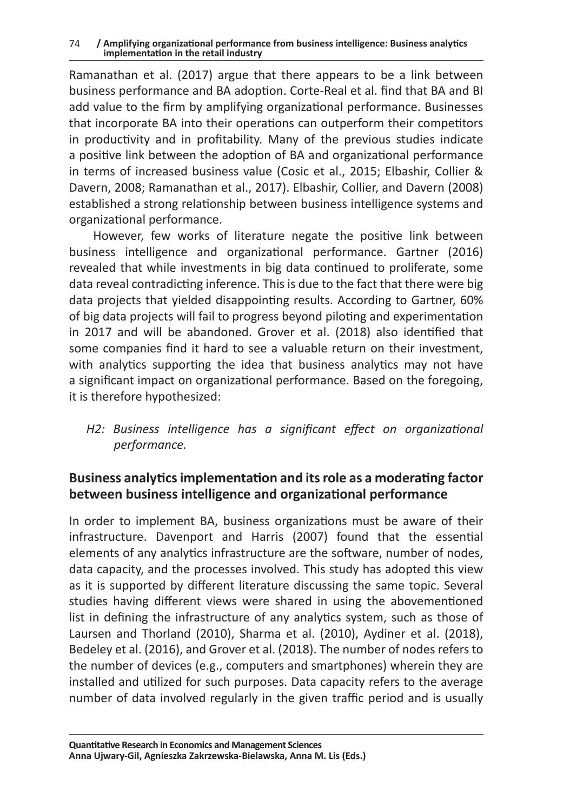Ramanathan et al. (2017) argue that there appears to be a link between business performance and BA adoption. Corte-Real et al. find that BA and BI add value to the firm by amplifying organizational performance. Businesses that incorporate BA into their operations can outperform their competitors in productivity and in profitability. Many of the previous studies indicate a positive link between the adoption of BA and organizational performance in terms of increased business value (Cosic et al., 2015; Elbashir, Collier & Davern, 2008; Ramanathan et al., 2017). Elbashir, Collier, and Davern (2008) established a strong relationship between business intelligence systems and organizational performance.

However, few works of literature negate the positive link between business intelligence and organizational performance. Gartner (2016) revealed that while investments in big data continued to proliferate, some data reveal contradicting inference. This is due to the fact that there were big data projects that yielded disappointing results. According to Gartner, 60% of big data projects will fail to progress beyond piloting and experimentation in 2017 and will be abandoned. Grover et al. (2018) also identified that some companies find it hard to see a valuable return on their investment, with analytics supporting the idea that business analytics may not have a significant impact on organizational performance. Based on the foregoing, it is therefore hypothesized:

*H2: Business intelligence has a significant effect on organizational performance.*

# **Business analytics implementation and its role as a moderating factor between business intelligence and organizational performance**

In order to implement BA, business organizations must be aware of their infrastructure. Davenport and Harris (2007) found that the essential elements of any analytics infrastructure are the software, number of nodes, data capacity, and the processes involved. This study has adopted this view as it is supported by different literature discussing the same topic. Several studies having different views were shared in using the abovementioned list in defining the infrastructure of any analytics system, such as those of Laursen and Thorland (2010), Sharma et al. (2010), Aydiner et al. (2018), Bedeley et al. (2016), and Grover et al. (2018). The number of nodes refers to the number of devices (e.g., computers and smartphones) wherein they are installed and utilized for such purposes. Data capacity refers to the average number of data involved regularly in the given traffic period and is usually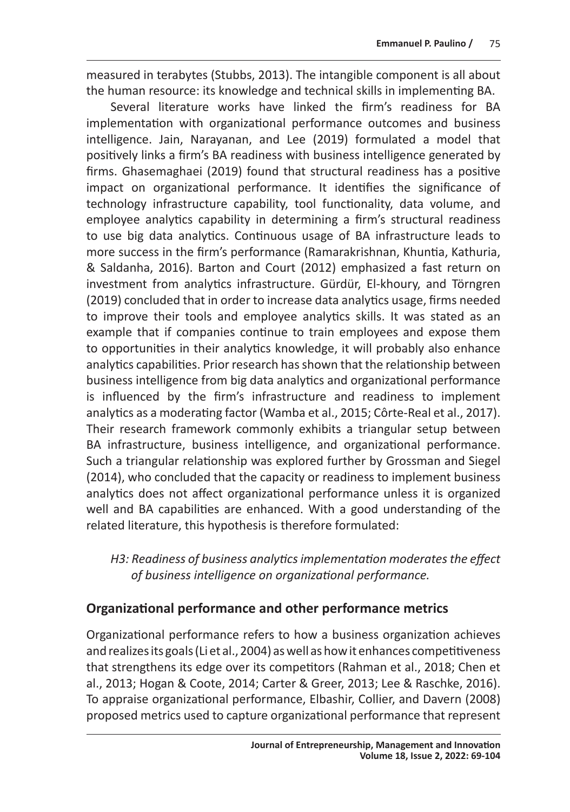measured in terabytes (Stubbs, 2013). The intangible component is all about the human resource: its knowledge and technical skills in implementing BA.

Several literature works have linked the firm's readiness for BA implementation with organizational performance outcomes and business intelligence. Jain, Narayanan, and Lee (2019) formulated a model that positively links a firm's BA readiness with business intelligence generated by firms. Ghasemaghaei (2019) found that structural readiness has a positive impact on organizational performance. It identifies the significance of technology infrastructure capability, tool functionality, data volume, and employee analytics capability in determining a firm's structural readiness to use big data analytics. Continuous usage of BA infrastructure leads to more success in the firm's performance (Ramarakrishnan, Khuntia, Kathuria, & Saldanha, 2016). Barton and Court (2012) emphasized a fast return on investment from analytics infrastructure. Gürdür, El-khoury, and Törngren (2019) concluded that in order to increase data analytics usage, firms needed to improve their tools and employee analytics skills. It was stated as an example that if companies continue to train employees and expose them to opportunities in their analytics knowledge, it will probably also enhance analytics capabilities. Prior research has shown that the relationship between business intelligence from big data analytics and organizational performance is influenced by the firm's infrastructure and readiness to implement analytics as a moderating factor (Wamba et al., 2015; Côrte-Real et al., 2017). Their research framework commonly exhibits a triangular setup between BA infrastructure, business intelligence, and organizational performance. Such a triangular relationship was explored further by Grossman and Siegel (2014), who concluded that the capacity or readiness to implement business analytics does not affect organizational performance unless it is organized well and BA capabilities are enhanced. With a good understanding of the related literature, this hypothesis is therefore formulated:

#### *H3: Readiness of business analytics implementation moderates the effect of business intelligence on organizational performance.*

#### **Organizational performance and other performance metrics**

Organizational performance refers to how a business organization achieves and realizes its goals (Li et al., 2004) as well as how it enhances competitiveness that strengthens its edge over its competitors (Rahman et al., 2018; Chen et al., 2013; Hogan & Coote, 2014; Carter & Greer, 2013; Lee & Raschke, 2016). To appraise organizational performance, Elbashir, Collier, and Davern (2008) proposed metrics used to capture organizational performance that represent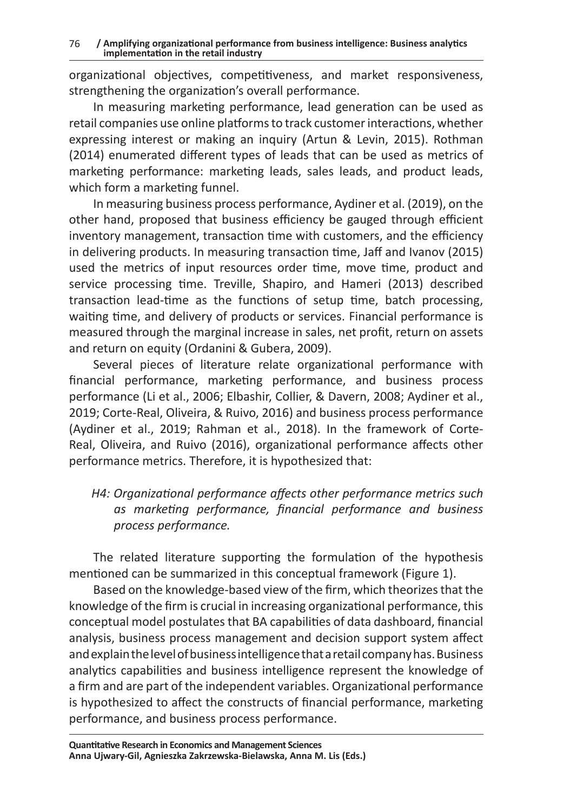organizational objectives, competitiveness, and market responsiveness, strengthening the organization's overall performance.

In measuring marketing performance, lead generation can be used as retail companies use online platforms to track customer interactions, whether expressing interest or making an inquiry (Artun & Levin, 2015). Rothman (2014) enumerated different types of leads that can be used as metrics of marketing performance: marketing leads, sales leads, and product leads, which form a marketing funnel.

In measuring business process performance, Aydiner et al. (2019), on the other hand, proposed that business efficiency be gauged through efficient inventory management, transaction time with customers, and the efficiency in delivering products. In measuring transaction time, Jaff and Ivanov (2015) used the metrics of input resources order time, move time, product and service processing time. Treville, Shapiro, and Hameri (2013) described transaction lead-time as the functions of setup time, batch processing, waiting time, and delivery of products or services. Financial performance is measured through the marginal increase in sales, net profit, return on assets and return on equity (Ordanini & Gubera, 2009).

Several pieces of literature relate organizational performance with financial performance, marketing performance, and business process performance (Li et al., 2006; Elbashir, Collier, & Davern, 2008; Aydiner et al., 2019; Corte-Real, Oliveira, & Ruivo, 2016) and business process performance (Aydiner et al., 2019; Rahman et al., 2018). In the framework of Corte-Real, Oliveira, and Ruivo (2016), organizational performance affects other performance metrics. Therefore, it is hypothesized that:

*H4: Organizational performance affects other performance metrics such as marketing performance, financial performance and business process performance.*

The related literature supporting the formulation of the hypothesis mentioned can be summarized in this conceptual framework (Figure 1).

Based on the knowledge-based view of the firm, which theorizes that the knowledge of the firm is crucial in increasing organizational performance, this conceptual model postulates that BA capabilities of data dashboard, financial analysis, business process management and decision support system affect and explain the level of business intelligence that aretail company has. Business analytics capabilities and business intelligence represent the knowledge of a firm and are part of the independent variables. Organizational performance is hypothesized to affect the constructs of financial performance, marketing performance, and business process performance.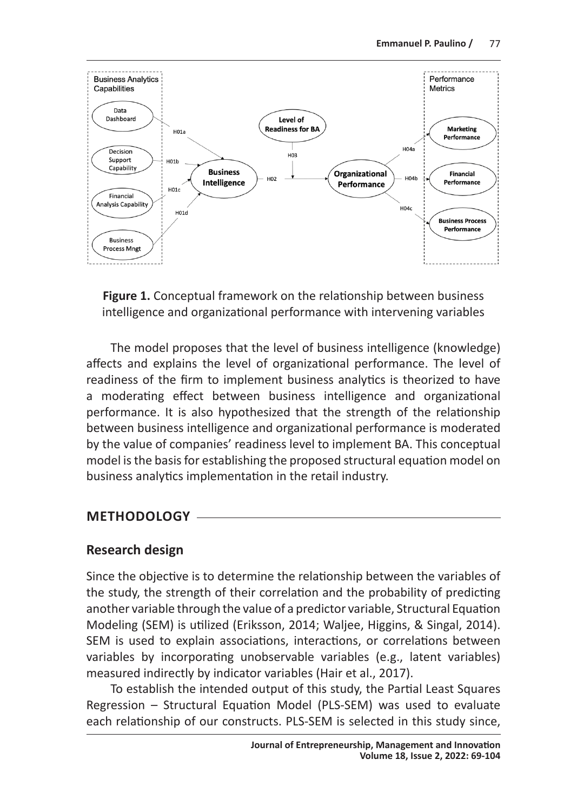

**Figure 1.** Conceptual framework on the relationship between business intelligence and organizational performance with intervening variables

The model proposes that the level of business intelligence (knowledge) affects and explains the level of organizational performance. The level of readiness of the firm to implement business analytics is theorized to have a moderating effect between business intelligence and organizational performance. It is also hypothesized that the strength of the relationship between business intelligence and organizational performance is moderated by the value of companies' readiness level to implement BA. This conceptual model is the basis for establishing the proposed structural equation model on business analytics implementation in the retail industry.

#### **METHODOLOGY**

#### **Research design**

Since the objective is to determine the relationship between the variables of the study, the strength of their correlation and the probability of predicting another variable through the value of a predictor variable, Structural Equation Modeling (SEM) is utilized (Eriksson, 2014; Waljee, Higgins, & Singal, 2014). SEM is used to explain associations, interactions, or correlations between variables by incorporating unobservable variables (e.g., latent variables) measured indirectly by indicator variables (Hair et al., 2017).

To establish the intended output of this study, the Partial Least Squares Regression – Structural Equation Model (PLS-SEM) was used to evaluate each relationship of our constructs. PLS-SEM is selected in this study since,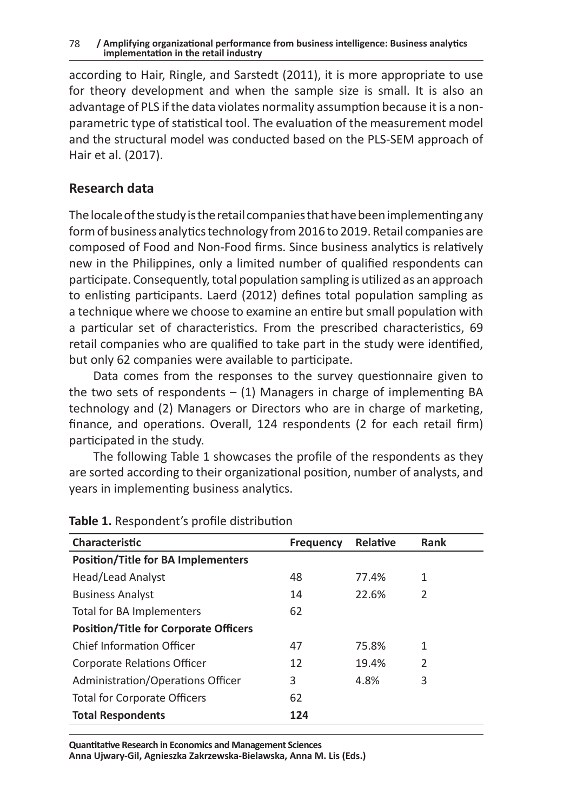#### 78 **/ Amplifying organizational performance from business intelligence: Business analytics implementation in the retail industry**

according to Hair, Ringle, and Sarstedt (2011), it is more appropriate to use for theory development and when the sample size is small. It is also an advantage of PLS if the data violates normality assumption because it is a nonparametric type of statistical tool. The evaluation of the measurement model and the structural model was conducted based on the PLS-SEM approach of Hair et al. (2017).

#### **Research data**

The locale of the study is the retail companies that have been implementing any form of business analytics technology from 2016 to 2019. Retail companies are composed of Food and Non-Food firms. Since business analytics is relatively new in the Philippines, only a limited number of qualified respondents can participate. Consequently, total population sampling is utilized as an approach to enlisting participants. Laerd (2012) defines total population sampling as a technique where we choose to examine an entire but small population with a particular set of characteristics. From the prescribed characteristics, 69 retail companies who are qualified to take part in the study were identified, but only 62 companies were available to participate.

Data comes from the responses to the survey questionnaire given to the two sets of respondents  $-$  (1) Managers in charge of implementing BA technology and (2) Managers or Directors who are in charge of marketing, finance, and operations. Overall, 124 respondents (2 for each retail firm) participated in the study.

The following Table 1 showcases the profile of the respondents as they are sorted according to their organizational position, number of analysts, and years in implementing business analytics.

| Characteristic                               | <b>Frequency</b> | Relative | <b>Rank</b> |
|----------------------------------------------|------------------|----------|-------------|
| <b>Position/Title for BA Implementers</b>    |                  |          |             |
| Head/Lead Analyst                            | 48               | 77.4%    | 1           |
| <b>Business Analyst</b>                      | 14               | 22.6%    | 2           |
| Total for BA Implementers                    | 62               |          |             |
| <b>Position/Title for Corporate Officers</b> |                  |          |             |
| Chief Information Officer                    | 47               | 75.8%    | 1           |
| Corporate Relations Officer                  | 12               | 19.4%    | 2           |
| Administration/Operations Officer            | 3                | 4.8%     | 3           |
| <b>Total for Corporate Officers</b>          | 62               |          |             |
| <b>Total Respondents</b>                     | 124              |          |             |

#### **Table 1.** Respondent's profile distribution

**Quantitative Research in Economics and Management Sciences Anna Ujwary-Gil, Agnieszka Zakrzewska-Bielawska, Anna M. Lis (Eds.)**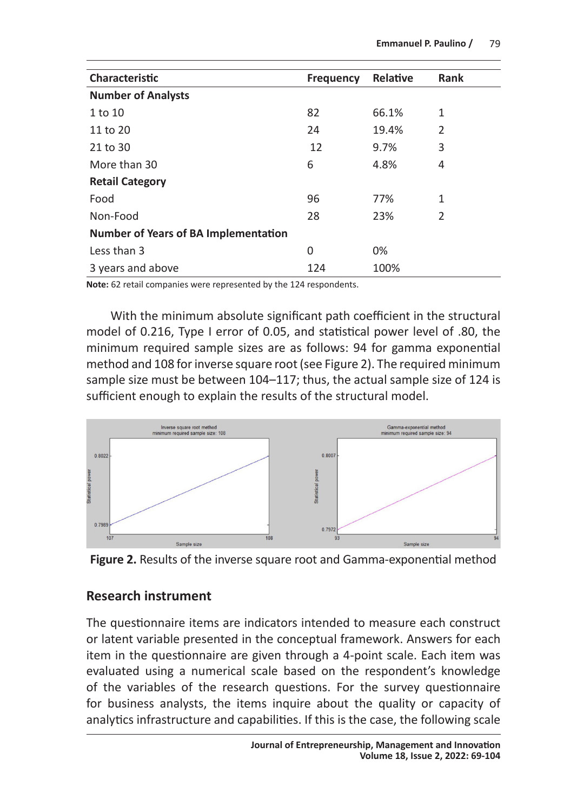| Characteristic                              | <b>Frequency</b> | Relative | <b>Rank</b> |
|---------------------------------------------|------------------|----------|-------------|
| <b>Number of Analysts</b>                   |                  |          |             |
| 1 to 10                                     | 82               | 66.1%    | 1           |
| 11 to 20                                    | 24               | 19.4%    | 2           |
| 21 to 30                                    | 12               | 9.7%     | 3           |
| More than 30                                | 6                | 4.8%     | 4           |
| <b>Retail Category</b>                      |                  |          |             |
| Food                                        | 96               | 77%      | 1           |
| Non-Food                                    | 28               | 23%      | 2           |
| <b>Number of Years of BA Implementation</b> |                  |          |             |
| Less than 3                                 | 0                | 0%       |             |
| 3 years and above                           | 124              | 100%     |             |

**Note:** 62 retail companies were represented by the 124 respondents.

With the minimum absolute significant path coefficient in the structural model of 0.216, Type I error of 0.05, and statistical power level of .80, the minimum required sample sizes are as follows: 94 for gamma exponential method and 108 for inverse square root (see Figure 2). The required minimum sample size must be between 104–117; thus, the actual sample size of 124 is sufficient enough to explain the results of the structural model.





#### **Research instrument**

The questionnaire items are indicators intended to measure each construct or latent variable presented in the conceptual framework. Answers for each item in the questionnaire are given through a 4-point scale. Each item was evaluated using a numerical scale based on the respondent's knowledge of the variables of the research questions. For the survey questionnaire for business analysts, the items inquire about the quality or capacity of analytics infrastructure and capabilities. If this is the case, the following scale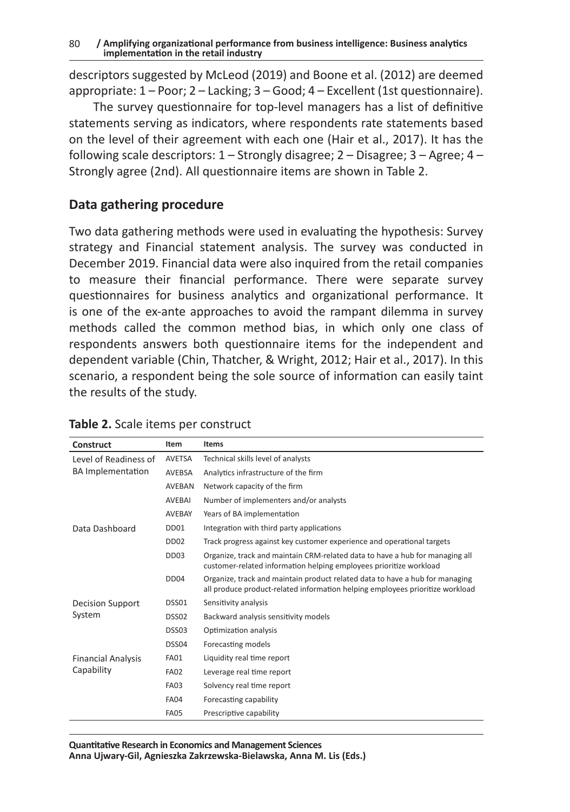descriptors suggested by McLeod (2019) and Boone et al. (2012) are deemed appropriate: 1 – Poor; 2 – Lacking; 3 – Good; 4 – Excellent (1st questionnaire).

The survey questionnaire for top-level managers has a list of definitive statements serving as indicators, where respondents rate statements based on the level of their agreement with each one (Hair et al., 2017). It has the following scale descriptors: 1 – Strongly disagree; 2 – Disagree; 3 – Agree; 4 – Strongly agree (2nd). All questionnaire items are shown in Table 2.

#### **Data gathering procedure**

Two data gathering methods were used in evaluating the hypothesis: Survey strategy and Financial statement analysis. The survey was conducted in December 2019. Financial data were also inquired from the retail companies to measure their financial performance. There were separate survey questionnaires for business analytics and organizational performance. It is one of the ex-ante approaches to avoid the rampant dilemma in survey methods called the common method bias, in which only one class of respondents answers both questionnaire items for the independent and dependent variable (Chin, Thatcher, & Wright, 2012; Hair et al., 2017). In this scenario, a respondent being the sole source of information can easily taint the results of the study.

| Construct                 | Item             | <b>Items</b>                                                                                                                                                  |
|---------------------------|------------------|---------------------------------------------------------------------------------------------------------------------------------------------------------------|
| Level of Readiness of     | AVETSA           | Technical skills level of analysts                                                                                                                            |
| <b>BA</b> Implementation  | AVEBSA           | Analytics infrastructure of the firm                                                                                                                          |
|                           | <b>AVEBAN</b>    | Network capacity of the firm                                                                                                                                  |
|                           | AVEBAI           | Number of implementers and/or analysts                                                                                                                        |
|                           | <b>AVEBAY</b>    | Years of BA implementation                                                                                                                                    |
| Data Dashboard            | DD <sub>01</sub> | Integration with third party applications                                                                                                                     |
|                           | DD <sub>02</sub> | Track progress against key customer experience and operational targets                                                                                        |
|                           | DD <sub>03</sub> | Organize, track and maintain CRM-related data to have a hub for managing all<br>customer-related information helping employees prioritize workload            |
|                           | DD <sub>04</sub> | Organize, track and maintain product related data to have a hub for managing<br>all produce product-related information helping employees prioritize workload |
| <b>Decision Support</b>   | DSS01            | Sensitivity analysis                                                                                                                                          |
| System                    | DSS02            | Backward analysis sensitivity models                                                                                                                          |
|                           | DSS03            | Optimization analysis                                                                                                                                         |
|                           | DSS04            | Forecasting models                                                                                                                                            |
| <b>Financial Analysis</b> | <b>FA01</b>      | Liquidity real time report                                                                                                                                    |
| Capability                | <b>FA02</b>      | Leverage real time report                                                                                                                                     |
|                           | <b>FA03</b>      | Solvency real time report                                                                                                                                     |
|                           | <b>FA04</b>      | Forecasting capability                                                                                                                                        |
|                           | <b>FA05</b>      | Prescriptive capability                                                                                                                                       |

#### **Table 2.** Scale items per construct

**Quantitative Research in Economics and Management Sciences Anna Ujwary-Gil, Agnieszka Zakrzewska-Bielawska, Anna M. Lis (Eds.)**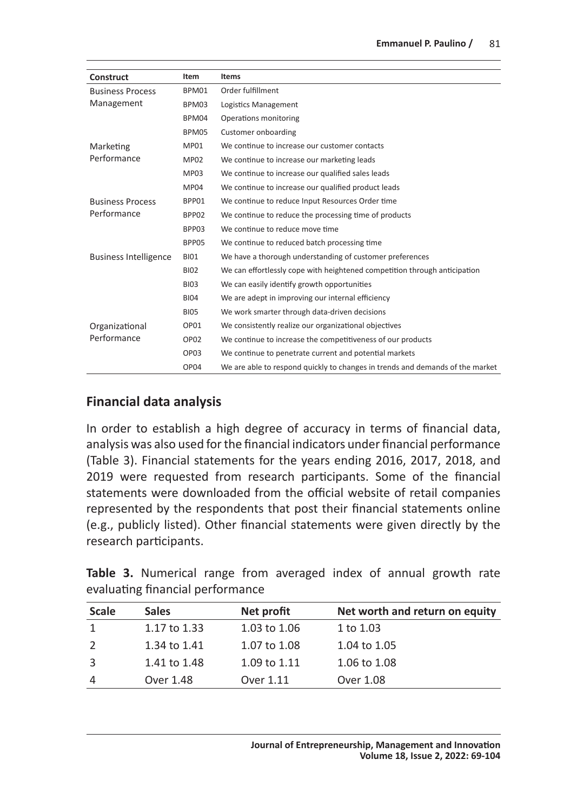| Construct                    | Item             | <b>Items</b>                                                                  |  |  |
|------------------------------|------------------|-------------------------------------------------------------------------------|--|--|
| <b>Business Process</b>      | BPM01            | Order fulfillment                                                             |  |  |
| Management                   | BPM03            | Logistics Management                                                          |  |  |
|                              | BPM04            | Operations monitoring                                                         |  |  |
|                              | BPM05            | Customer onboarding                                                           |  |  |
| Marketing                    | <b>MP01</b>      | We continue to increase our customer contacts                                 |  |  |
| Performance                  | <b>MP02</b>      | We continue to increase our marketing leads                                   |  |  |
|                              | MP03             | We continue to increase our qualified sales leads                             |  |  |
|                              | MP04             | We continue to increase our qualified product leads                           |  |  |
| <b>Business Process</b>      | BPP01            | We continue to reduce Input Resources Order time                              |  |  |
| Performance                  | BPP02            | We continue to reduce the processing time of products                         |  |  |
|                              | BPP03            | We continue to reduce move time                                               |  |  |
|                              | BPP05            | We continue to reduced batch processing time                                  |  |  |
| <b>Business Intelligence</b> | <b>BI01</b>      | We have a thorough understanding of customer preferences                      |  |  |
|                              | <b>BI02</b>      | We can effortlessly cope with heightened competition through anticipation     |  |  |
|                              | <b>BI03</b>      | We can easily identify growth opportunities                                   |  |  |
|                              | <b>BI04</b>      | We are adept in improving our internal efficiency                             |  |  |
|                              | <b>BI05</b>      | We work smarter through data-driven decisions                                 |  |  |
| Organizational               | OP01             | We consistently realize our organizational objectives                         |  |  |
| Performance                  | OP <sub>02</sub> | We continue to increase the competitiveness of our products                   |  |  |
|                              | OP <sub>03</sub> | We continue to penetrate current and potential markets                        |  |  |
|                              | OP04             | We are able to respond quickly to changes in trends and demands of the market |  |  |

#### **Financial data analysis**

In order to establish a high degree of accuracy in terms of financial data, analysis was also used for the financial indicators under financial performance (Table 3). Financial statements for the years ending 2016, 2017, 2018, and 2019 were requested from research participants. Some of the financial statements were downloaded from the official website of retail companies represented by the respondents that post their financial statements online (e.g., publicly listed). Other financial statements were given directly by the research participants.

|  | Table 3. Numerical range from averaged index of annual growth rate |  |  |  |  |
|--|--------------------------------------------------------------------|--|--|--|--|
|  | evaluating financial performance                                   |  |  |  |  |

| <b>Scale</b> | <b>Sales</b> | Net profit   | Net worth and return on equity |
|--------------|--------------|--------------|--------------------------------|
|              | 1.17 to 1.33 | 1.03 to 1.06 | 1 to 1.03                      |
| 2            | 1.34 to 1.41 | 1.07 to 1.08 | 1.04 to 1.05                   |
| 3            | 1.41 to 1.48 | 1.09 to 1.11 | 1.06 to 1.08                   |
| 4            | Over 1.48    | Over 1.11    | Over 1.08                      |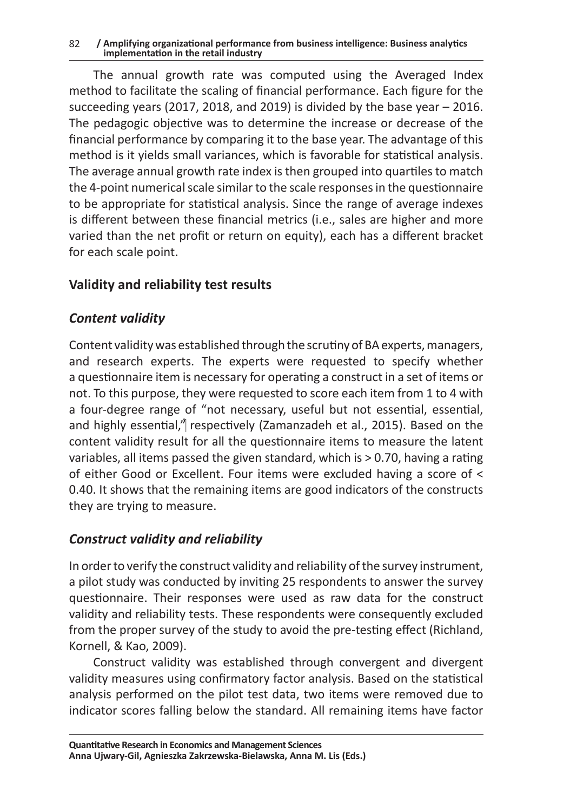82 **/ Amplifying organizational performance from business intelligence: Business analytics implementation in the retail industry**

The annual growth rate was computed using the Averaged Index method to facilitate the scaling of financial performance. Each figure for the succeeding years (2017, 2018, and 2019) is divided by the base year  $-$  2016. The pedagogic objective was to determine the increase or decrease of the financial performance by comparing it to the base year. The advantage of this method is it yields small variances, which is favorable for statistical analysis. The average annual growth rate index is then grouped into quartiles to match the 4-point numerical scale similar to the scale responses in the questionnaire to be appropriate for statistical analysis. Since the range of average indexes is different between these financial metrics (i.e., sales are higher and more varied than the net profit or return on equity), each has a different bracket for each scale point.

#### **Validity and reliability test results**

#### *Content validity*

Content validity was established through the scrutiny of BA experts, managers, and research experts. The experts were requested to specify whether a questionnaire item is necessary for operating a construct in a set of items or not. To this purpose, they were requested to score each item from 1 to 4 with a four-degree range of "not necessary, useful but not essential, essential, and highly essential,<sup>n</sup> respectively (Zamanzadeh et al., 2015). Based on the content validity result for all the questionnaire items to measure the latent variables, all items passed the given standard, which is > 0.70, having a rating of either Good or Excellent. Four items were excluded having a score of < 0.40. It shows that the remaining items are good indicators of the constructs they are trying to measure.

# *Construct validity and reliability*

In order to verify the construct validity and reliability of the survey instrument, a pilot study was conducted by inviting 25 respondents to answer the survey questionnaire. Their responses were used as raw data for the construct validity and reliability tests. These respondents were consequently excluded from the proper survey of the study to avoid the pre-testing effect (Richland, Kornell, & Kao, 2009).

Construct validity was established through convergent and divergent validity measures using confirmatory factor analysis. Based on the statistical analysis performed on the pilot test data, two items were removed due to indicator scores falling below the standard. All remaining items have factor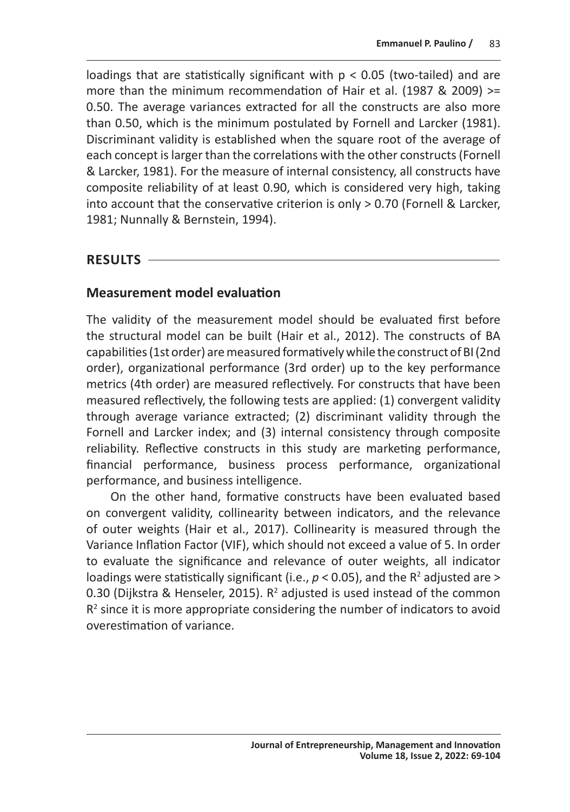loadings that are statistically significant with p < 0.05 (two-tailed) and are more than the minimum recommendation of Hair et al. (1987 & 2009) >= 0.50. The average variances extracted for all the constructs are also more than 0.50, which is the minimum postulated by Fornell and Larcker (1981). Discriminant validity is established when the square root of the average of each concept is larger than the correlations with the other constructs (Fornell & Larcker, 1981). For the measure of internal consistency, all constructs have composite reliability of at least 0.90, which is considered very high, taking into account that the conservative criterion is only > 0.70 (Fornell & Larcker, 1981; Nunnally & Bernstein, 1994).

#### **RESULTS**

#### **Measurement model evaluation**

The validity of the measurement model should be evaluated first before the structural model can be built (Hair et al., 2012). The constructs of BA capabilities (1st order) are measured formatively while the construct of BI (2nd order), organizational performance (3rd order) up to the key performance metrics (4th order) are measured reflectively. For constructs that have been measured reflectively, the following tests are applied: (1) convergent validity through average variance extracted; (2) discriminant validity through the Fornell and Larcker index; and (3) internal consistency through composite reliability. Reflective constructs in this study are marketing performance, financial performance, business process performance, organizational performance, and business intelligence.

On the other hand, formative constructs have been evaluated based on convergent validity, collinearity between indicators, and the relevance of outer weights (Hair et al., 2017). Collinearity is measured through the Variance Inflation Factor (VIF), which should not exceed a value of 5. In order to evaluate the significance and relevance of outer weights, all indicator loadings were statistically significant (i.e.,  $p < 0.05$ ), and the  $R<sup>2</sup>$  adjusted are > 0.30 (Dijkstra & Henseler, 2015).  $R^2$  adjusted is used instead of the common  $R<sup>2</sup>$  since it is more appropriate considering the number of indicators to avoid overestimation of variance.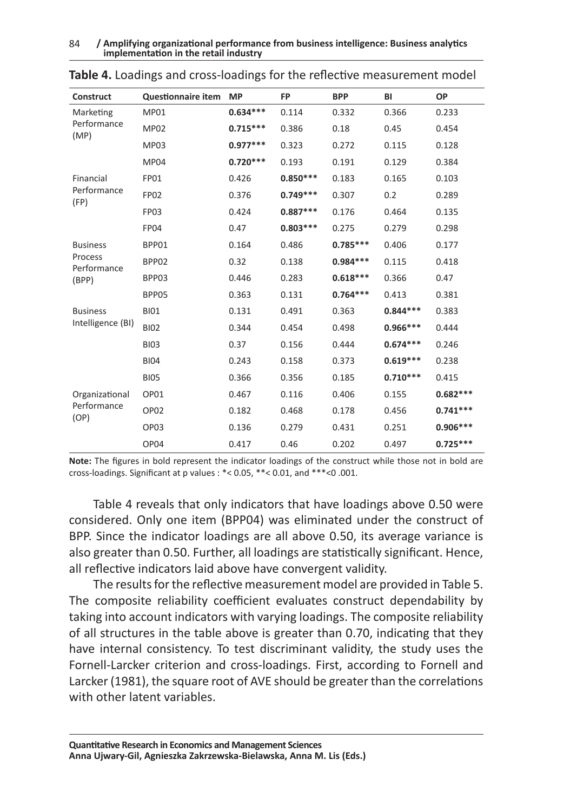84 **/ Amplifying organizational performance from business intelligence: Business analytics implementation in the retail industry**

| Construct              | <b>Questionnaire item</b> | <b>MP</b>  | <b>FP</b>  | <b>BPP</b> | BI         | OP         |
|------------------------|---------------------------|------------|------------|------------|------------|------------|
| Marketing              | <b>MP01</b>               | $0.634***$ | 0.114      | 0.332      | 0.366      | 0.233      |
| Performance<br>(MP)    | <b>MP02</b>               | $0.715***$ | 0.386      | 0.18       | 0.45       | 0.454      |
|                        | <b>MP03</b>               | $0.977***$ | 0.323      | 0.272      | 0.115      | 0.128      |
|                        | <b>MP04</b>               | $0.720***$ | 0.193      | 0.191      | 0.129      | 0.384      |
| Financial              | <b>FP01</b>               | 0.426      | $0.850***$ | 0.183      | 0.165      | 0.103      |
| Performance<br>(FP)    | <b>FP02</b>               | 0.376      | $0.749***$ | 0.307      | 0.2        | 0.289      |
|                        | <b>FP03</b>               | 0.424      | $0.887***$ | 0.176      | 0.464      | 0.135      |
|                        | <b>FP04</b>               | 0.47       | $0.803***$ | 0.275      | 0.279      | 0.298      |
| <b>Business</b>        | BPP01                     | 0.164      | 0.486      | $0.785***$ | 0.406      | 0.177      |
| Process<br>Performance | BPP02                     | 0.32       | 0.138      | $0.984***$ | 0.115      | 0.418      |
| (BPP)                  | BPP03                     | 0.446      | 0.283      | $0.618***$ | 0.366      | 0.47       |
|                        | BPP05                     | 0.363      | 0.131      | $0.764***$ | 0.413      | 0.381      |
| <b>Business</b>        | <b>BI01</b>               | 0.131      | 0.491      | 0.363      | $0.844***$ | 0.383      |
| Intelligence (BI)      | <b>BI02</b>               | 0.344      | 0.454      | 0.498      | $0.966***$ | 0.444      |
|                        | <b>BI03</b>               | 0.37       | 0.156      | 0.444      | $0.674***$ | 0.246      |
|                        | <b>BI04</b>               | 0.243      | 0.158      | 0.373      | $0.619***$ | 0.238      |
|                        | <b>BI05</b>               | 0.366      | 0.356      | 0.185      | $0.710***$ | 0.415      |
| Organizational         | OP01                      | 0.467      | 0.116      | 0.406      | 0.155      | $0.682***$ |
| Performance<br>(OP)    | OP <sub>02</sub>          | 0.182      | 0.468      | 0.178      | 0.456      | $0.741***$ |
|                        | OP <sub>03</sub>          | 0.136      | 0.279      | 0.431      | 0.251      | $0.906***$ |
|                        | OP04                      | 0.417      | 0.46       | 0.202      | 0.497      | $0.725***$ |

| Table 4. Loadings and cross-loadings for the reflective measurement model |  |  |
|---------------------------------------------------------------------------|--|--|
|---------------------------------------------------------------------------|--|--|

**Note:** The figures in bold represent the indicator loadings of the construct while those not in bold are cross-loadings. Significant at p values : \*< 0.05, \*\*< 0.01, and \*\*\*<0 .001.

Table 4 reveals that only indicators that have loadings above 0.50 were considered. Only one item (BPP04) was eliminated under the construct of BPP. Since the indicator loadings are all above 0.50, its average variance is also greater than 0.50. Further, all loadings are statistically significant. Hence, all reflective indicators laid above have convergent validity.

The results for the reflective measurement model are provided in Table 5. The composite reliability coefficient evaluates construct dependability by taking into account indicators with varying loadings. The composite reliability of all structures in the table above is greater than 0.70, indicating that they have internal consistency. To test discriminant validity, the study uses the Fornell-Larcker criterion and cross-loadings. First, according to Fornell and Larcker (1981), the square root of AVE should be greater than the correlations with other latent variables.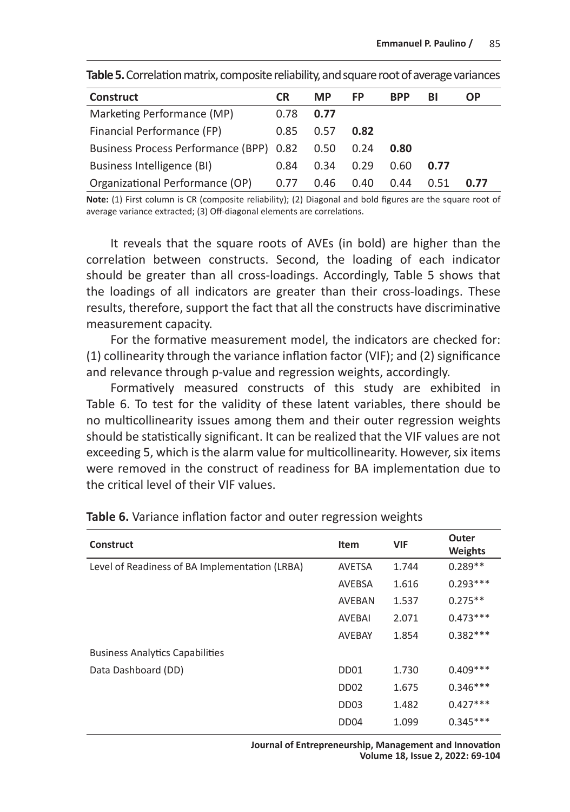| <b>Construct</b>                        | <b>CR</b> | <b>MP</b> | FP   | <b>BPP</b> | ΒІ   | ΟP   |
|-----------------------------------------|-----------|-----------|------|------------|------|------|
| Marketing Performance (MP)              | 0.78      | 0.77      |      |            |      |      |
| Financial Performance (FP)              | 0.85      | 0.57      | 0.82 |            |      |      |
| Business Process Performance (BPP) 0.82 |           | 0.50      | 0.24 | 0.80       |      |      |
| Business Intelligence (BI)              | 0.84      | 0.34      | 0.29 | 0.60       | 0.77 |      |
| Organizational Performance (OP)         | 0.77      | 0.46      | 0.40 | 0.44       | 0.51 | 0.77 |

**Table 5.** Correlation matrix, composite reliability, and square root of average variances

**Note:** (1) First column is CR (composite reliability); (2) Diagonal and bold figures are the square root of average variance extracted; (3) Off-diagonal elements are correlations.

It reveals that the square roots of AVEs (in bold) are higher than the correlation between constructs. Second, the loading of each indicator should be greater than all cross-loadings. Accordingly, Table 5 shows that the loadings of all indicators are greater than their cross-loadings. These results, therefore, support the fact that all the constructs have discriminative measurement capacity.

For the formative measurement model, the indicators are checked for: (1) collinearity through the variance inflation factor (VIF); and (2) significance and relevance through p-value and regression weights, accordingly.

Formatively measured constructs of this study are exhibited in Table 6. To test for the validity of these latent variables, there should be no multicollinearity issues among them and their outer regression weights should be statistically significant. It can be realized that the VIF values are not exceeding 5, which is the alarm value for multicollinearity. However, six items were removed in the construct of readiness for BA implementation due to the critical level of their VIF values.

| <b>Construct</b>                               | Item                         | <b>VIF</b> | Outer<br>Weights |
|------------------------------------------------|------------------------------|------------|------------------|
| Level of Readiness of BA Implementation (LRBA) | <b>AVETSA</b>                | 1.744      | $0.289**$        |
|                                                | AVEBSA                       | 1.616      | $0.293***$       |
|                                                | AVEBAN                       | 1.537      | $0.275**$        |
|                                                | <b>AVEBAI</b>                | 2.071      | $0.473***$       |
|                                                | AVEBAY                       | 1.854      | $0.382***$       |
| <b>Business Analytics Capabilities</b>         |                              |            |                  |
| Data Dashboard (DD)                            | D <sub>D</sub> <sub>01</sub> | 1.730      | $0.409***$       |
|                                                | DD <sub>02</sub>             | 1.675      | $0.346***$       |
|                                                | DD <sub>03</sub>             | 1.482      | $0.427***$       |
|                                                | DD <sub>04</sub>             | 1.099      | $0.345***$       |
|                                                |                              |            |                  |

**Table 6.** Variance inflation factor and outer regression weights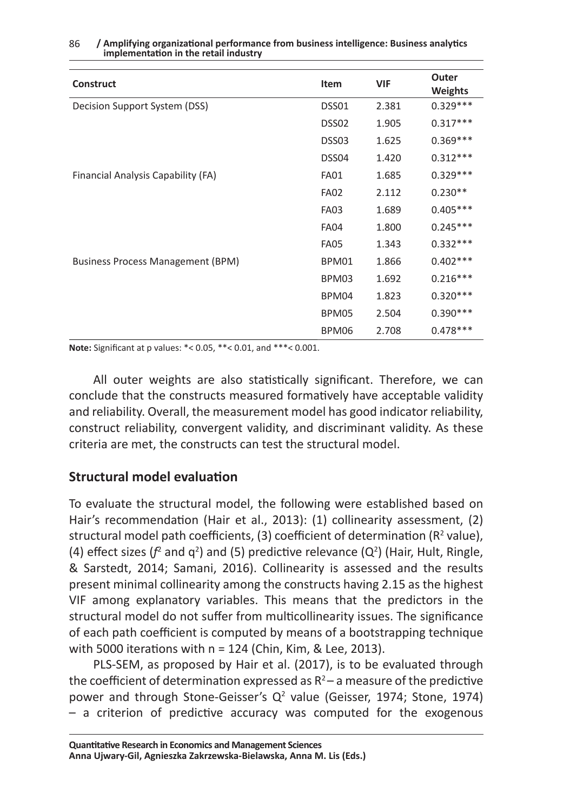| <b>Construct</b>                   | Item        | VIF   | Outer<br><b>Weights</b> |
|------------------------------------|-------------|-------|-------------------------|
| Decision Support System (DSS)      | DSS01       | 2.381 | $0.329***$              |
|                                    | DSS02       | 1.905 | $0.317***$              |
|                                    | DSS03       | 1.625 | $0.369***$              |
|                                    | DSS04       | 1.420 | $0.312***$              |
| Financial Analysis Capability (FA) | <b>FA01</b> | 1.685 | $0.329***$              |
|                                    | <b>FA02</b> | 2.112 | $0.230**$               |
|                                    | <b>FA03</b> | 1.689 | $0.405***$              |
|                                    | <b>FA04</b> | 1.800 | $0.245***$              |
|                                    | <b>FA05</b> | 1.343 | $0.332***$              |
| Business Process Management (BPM)  | BPM01       | 1.866 | $0.402***$              |
|                                    | BPM03       | 1.692 | $0.216***$              |
|                                    | BPM04       | 1.823 | $0.320***$              |
|                                    | BPM05       | 2.504 | $0.390***$              |
|                                    | BPM06       | 2.708 | $0.478***$              |

#### 86 **/ Amplifying organizational performance from business intelligence: Business analytics implementation in the retail industry**

**Note:** Significant at p values: \*< 0.05, \*\*< 0.01, and \*\*\*< 0.001.

All outer weights are also statistically significant. Therefore, we can conclude that the constructs measured formatively have acceptable validity and reliability. Overall, the measurement model has good indicator reliability, construct reliability, convergent validity, and discriminant validity. As these criteria are met, the constructs can test the structural model.

#### **Structural model evaluation**

To evaluate the structural model, the following were established based on Hair's recommendation (Hair et al., 2013): (1) collinearity assessment, (2) structural model path coefficients, (3) coefficient of determination ( $R^2$  value), (4) effect sizes ( $f^2$  and  $q^2$ ) and (5) predictive relevance ( $Q^2$ ) (Hair, Hult, Ringle, & Sarstedt, 2014; Samani, 2016). Collinearity is assessed and the results present minimal collinearity among the constructs having 2.15 as the highest VIF among explanatory variables. This means that the predictors in the structural model do not suffer from multicollinearity issues. The significance of each path coefficient is computed by means of a bootstrapping technique with 5000 iterations with n = 124 (Chin, Kim, & Lee, 2013).

PLS-SEM, as proposed by Hair et al. (2017), is to be evaluated through the coefficient of determination expressed as  $R^2$  – a measure of the predictive power and through Stone-Geisser's  $Q^2$  value (Geisser, 1974; Stone, 1974) – a criterion of predictive accuracy was computed for the exogenous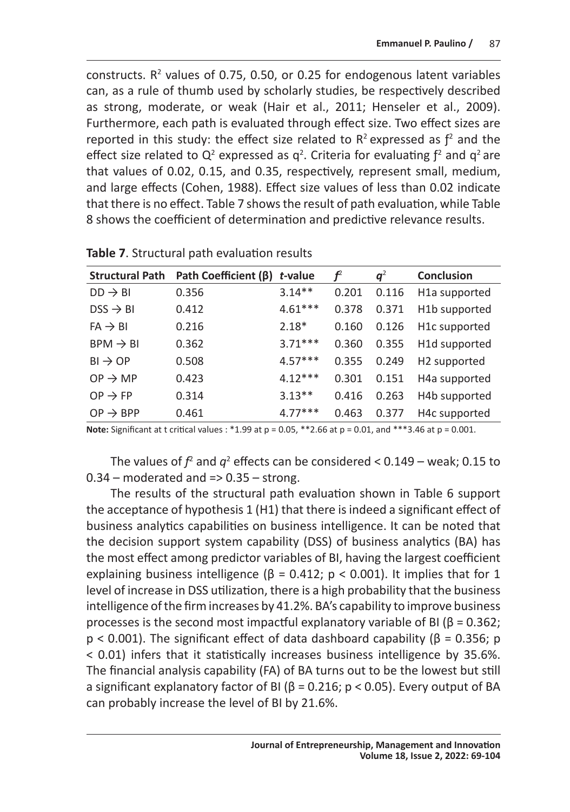constructs.  $R^2$  values of 0.75, 0.50, or 0.25 for endogenous latent variables can, as a rule of thumb used by scholarly studies, be respectively described as strong, moderate, or weak (Hair et al., 2011; Henseler et al., 2009). Furthermore, each path is evaluated through effect size. Two effect sizes are reported in this study: the effect size related to  $R^2$  expressed as  $f^2$  and the effect size related to  $Q^2$  expressed as  $q^2$ . Criteria for evaluating  $f^2$  and  $q^2$  are that values of 0.02, 0.15, and 0.35, respectively, represent small, medium, and large effects (Cohen, 1988). Effect size values of less than 0.02 indicate that there is no effect. Table 7 shows the result of path evaluation, while Table 8 shows the coefficient of determination and predictive relevance results.

| <b>Structural Path</b> | Path Coefficient (B) | t-value   | $f^2$ | $q^2$ | <b>Conclusion</b>          |
|------------------------|----------------------|-----------|-------|-------|----------------------------|
| $DD \rightarrow BI$    | 0.356                | $3.14**$  | 0.201 | 0.116 | H1a supported              |
| $DSS \rightarrow BI$   | 0.412                | $4.61***$ | 0.378 | 0.371 | H1b supported              |
| $FA \rightarrow BI$    | 0.216                | $2.18*$   | 0.160 | 0.126 | H <sub>1</sub> c supported |
| $BPM \rightarrow BI$   | 0.362                | $3.71***$ | 0.360 | 0.355 | H1d supported              |
| $BI \rightarrow OP$    | 0.508                | $4.57***$ | 0.355 | 0.249 | H2 supported               |
| $OP \rightarrow MP$    | 0.423                | $4.12***$ | 0.301 | 0.151 | H <sub>4</sub> a supported |
| $OP \rightarrow FP$    | 0.314                | $3.13**$  | 0.416 | 0.263 | H4b supported              |
| $OP \rightarrow BPP$   | 0.461                | $4.77***$ | 0.463 | 0.377 | H4c supported              |

**Table 7**. Structural path evaluation results

**Note:** Significant at t critical values : \*1.99 at p = 0.05, \*\*2.66 at p = 0.01, and \*\*\*3.46 at p = 0.001.

The values of  $f^2$  and  $q^2$  effects can be considered < 0.149 – weak; 0.15 to  $0.34$  – moderated and =>  $0.35$  – strong.

The results of the structural path evaluation shown in Table 6 support the acceptance of hypothesis 1 (H1) that there is indeed a significant effect of business analytics capabilities on business intelligence. It can be noted that the decision support system capability (DSS) of business analytics (BA) has the most effect among predictor variables of BI, having the largest coefficient explaining business intelligence ( $\beta$  = 0.412; p < 0.001). It implies that for 1 level of increase in DSS utilization, there is a high probability that the business intelligence of the firm increases by 41.2%. BA's capability to improve business processes is the second most impactful explanatory variable of BI (β = 0.362;  $p < 0.001$ ). The significant effect of data dashboard capability ( $\beta = 0.356$ ; p < 0.01) infers that it statistically increases business intelligence by 35.6%. The financial analysis capability (FA) of BA turns out to be the lowest but still a significant explanatory factor of BI ( $β = 0.216$ ;  $p < 0.05$ ). Every output of BA can probably increase the level of BI by 21.6%.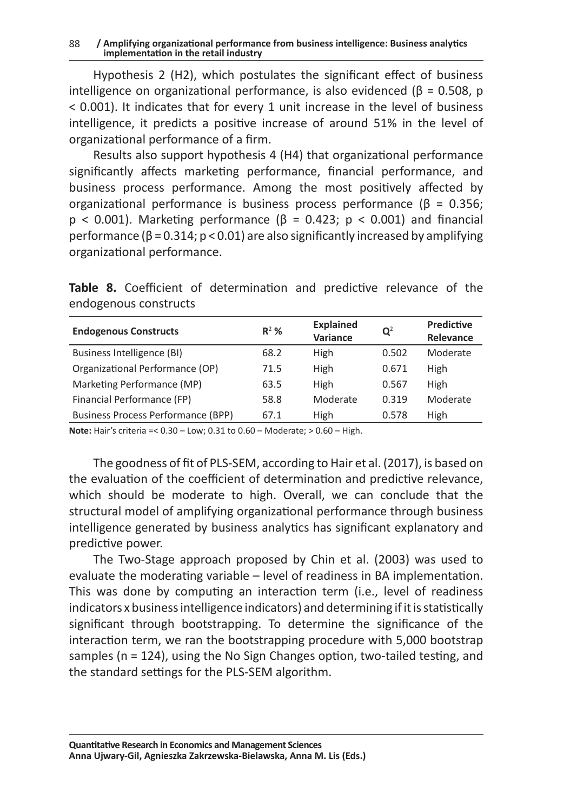#### 88 **/ Amplifying organizational performance from business intelligence: Business analytics implementation in the retail industry**

Hypothesis 2 (H2), which postulates the significant effect of business intelligence on organizational performance, is also evidenced ( $\beta$  = 0.508, p < 0.001). It indicates that for every 1 unit increase in the level of business intelligence, it predicts a positive increase of around 51% in the level of organizational performance of a firm.

Results also support hypothesis 4 (H4) that organizational performance significantly affects marketing performance, financial performance, and business process performance. Among the most positively affected by organizational performance is business process performance (β = 0.356;  $p < 0.001$ ). Marketing performance ( $\beta = 0.423$ ;  $p < 0.001$ ) and financial performance ( $\beta$  = 0.314; p < 0.01) are also significantly increased by amplifying organizational performance.

**Table 8.** Coefficient of determination and predictive relevance of the endogenous constructs

| <b>Endogenous Constructs</b>       | $R^2$ % | <b>Explained</b><br>Variance | $\mathbf{Q}^2$ | <b>Predictive</b><br>Relevance |
|------------------------------------|---------|------------------------------|----------------|--------------------------------|
| Business Intelligence (BI)         | 68.2    | High                         | 0.502          | Moderate                       |
| Organizational Performance (OP)    | 71.5    | High                         | 0.671          | High                           |
| Marketing Performance (MP)         | 63.5    | High                         | 0.567          | High                           |
| Financial Performance (FP)         | 58.8    | Moderate                     | 0.319          | Moderate                       |
| Business Process Performance (BPP) | 67.1    | High                         | 0.578          | High                           |

**Note:** Hair's criteria =< 0.30 – Low; 0.31 to 0.60 – Moderate; > 0.60 – High.

The goodness of fit of PLS-SEM, according to Hair et al. (2017), is based on the evaluation of the coefficient of determination and predictive relevance, which should be moderate to high. Overall, we can conclude that the structural model of amplifying organizational performance through business intelligence generated by business analytics has significant explanatory and predictive power.

The Two-Stage approach proposed by Chin et al. (2003) was used to evaluate the moderating variable – level of readiness in BA implementation. This was done by computing an interaction term (i.e., level of readiness indicators x business intelligence indicators) and determining if it is statistically significant through bootstrapping. To determine the significance of the interaction term, we ran the bootstrapping procedure with 5,000 bootstrap samples (n = 124), using the No Sign Changes option, two-tailed testing, and the standard settings for the PLS-SEM algorithm.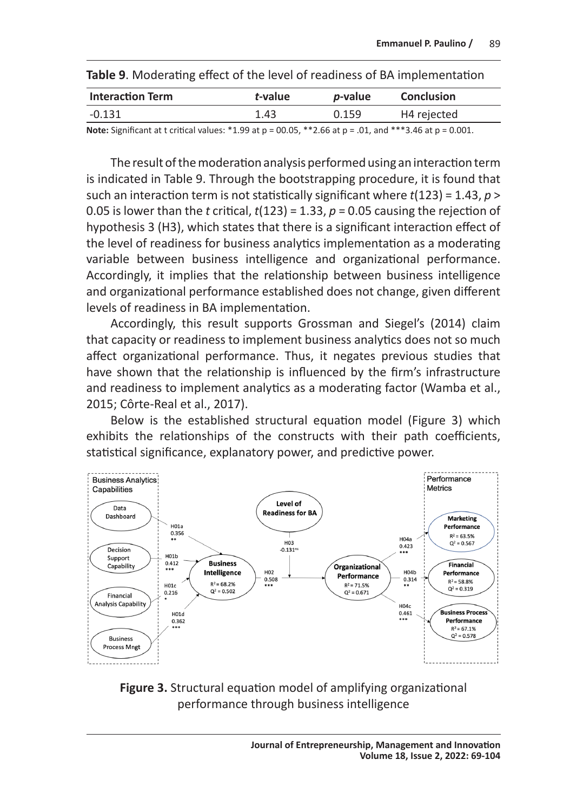| <b>Interaction Term</b>                                                                                                      | t-value | <i>p</i> -value | <b>Conclusion</b> |
|------------------------------------------------------------------------------------------------------------------------------|---------|-----------------|-------------------|
| $-0.131$                                                                                                                     | 1.43    | 0.159           | H4 rejected       |
| <b>Note:</b> Significant at t critical values: $*1.99$ at $p = 00.05$ , $*2.66$ at $p = .01$ , and $**3.46$ at $p = 0.001$ . |         |                 |                   |

**Table 9**. Moderating effect of the level of readiness of BA implementation

The result of the moderation analysis performed using an interaction term is indicated in Table 9. Through the bootstrapping procedure, it is found that such an interaction term is not statistically significant where *t*(123) = 1.43, *p* > 0.05 is lower than the *t* critical,  $t(123) = 1.33$ ,  $p = 0.05$  causing the rejection of hypothesis 3 (H3), which states that there is a significant interaction effect of the level of readiness for business analytics implementation as a moderating variable between business intelligence and organizational performance. Accordingly, it implies that the relationship between business intelligence and organizational performance established does not change, given different levels of readiness in BA implementation.

Accordingly, this result supports Grossman and Siegel's (2014) claim that capacity or readiness to implement business analytics does not so much affect organizational performance. Thus, it negates previous studies that have shown that the relationship is influenced by the firm's infrastructure and readiness to implement analytics as a moderating factor (Wamba et al., 2015; Côrte-Real et al., 2017).

Below is the established structural equation model (Figure 3) which exhibits the relationships of the constructs with their path coefficients, statistical significance, explanatory power, and predictive power.



**Figure 3.** Structural equation model of amplifying organizational performance through business intelligence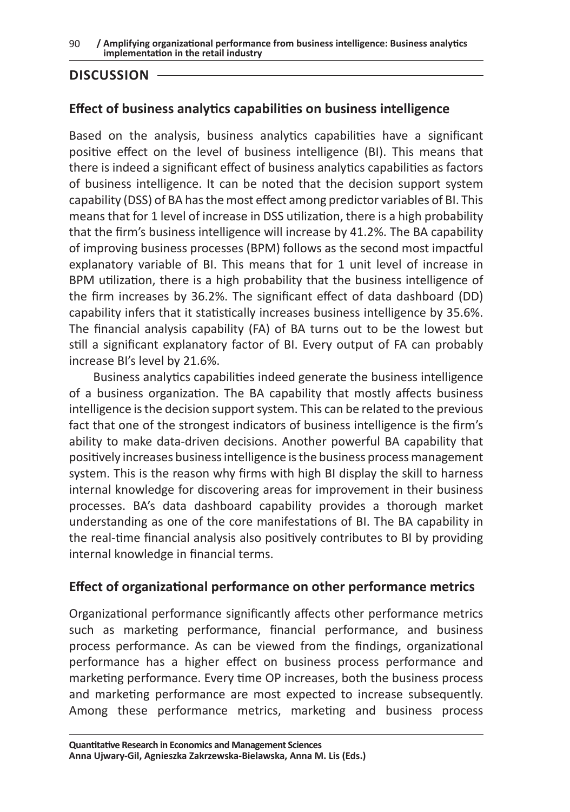#### **DISCUSSION**

#### **Effect of business analytics capabilities on business intelligence**

Based on the analysis, business analytics capabilities have a significant positive effect on the level of business intelligence (BI). This means that there is indeed a significant effect of business analytics capabilities as factors of business intelligence. It can be noted that the decision support system capability (DSS) of BA has the most effect among predictor variables of BI. This means that for 1 level of increase in DSS utilization, there is a high probability that the firm's business intelligence will increase by 41.2%. The BA capability of improving business processes (BPM) follows as the second most impactful explanatory variable of BI. This means that for 1 unit level of increase in BPM utilization, there is a high probability that the business intelligence of the firm increases by 36.2%. The significant effect of data dashboard (DD) capability infers that it statistically increases business intelligence by 35.6%. The financial analysis capability (FA) of BA turns out to be the lowest but still a significant explanatory factor of BI. Every output of FA can probably increase BI's level by 21.6%.

Business analytics capabilities indeed generate the business intelligence of a business organization. The BA capability that mostly affects business intelligence is the decision support system. This can be related to the previous fact that one of the strongest indicators of business intelligence is the firm's ability to make data-driven decisions. Another powerful BA capability that positively increases business intelligence is the business process management system. This is the reason why firms with high BI display the skill to harness internal knowledge for discovering areas for improvement in their business processes. BA's data dashboard capability provides a thorough market understanding as one of the core manifestations of BI. The BA capability in the real-time financial analysis also positively contributes to BI by providing internal knowledge in financial terms.

#### **Effect of organizational performance on other performance metrics**

Organizational performance significantly affects other performance metrics such as marketing performance, financial performance, and business process performance. As can be viewed from the findings, organizational performance has a higher effect on business process performance and marketing performance. Every time OP increases, both the business process and marketing performance are most expected to increase subsequently. Among these performance metrics, marketing and business process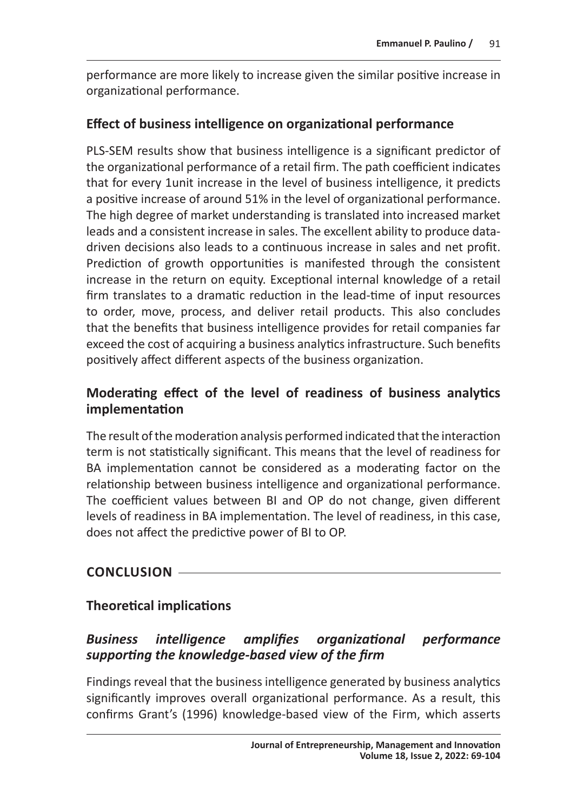performance are more likely to increase given the similar positive increase in organizational performance.

#### **Effect of business intelligence on organizational performance**

PLS-SEM results show that business intelligence is a significant predictor of the organizational performance of a retail firm. The path coefficient indicates that for every 1unit increase in the level of business intelligence, it predicts a positive increase of around 51% in the level of organizational performance. The high degree of market understanding is translated into increased market leads and a consistent increase in sales. The excellent ability to produce datadriven decisions also leads to a continuous increase in sales and net profit. Prediction of growth opportunities is manifested through the consistent increase in the return on equity. Exceptional internal knowledge of a retail firm translates to a dramatic reduction in the lead-time of input resources to order, move, process, and deliver retail products. This also concludes that the benefits that business intelligence provides for retail companies far exceed the cost of acquiring a business analytics infrastructure. Such benefits positively affect different aspects of the business organization.

# **Moderating effect of the level of readiness of business analytics implementation**

The result of the moderation analysis performed indicated that the interaction term is not statistically significant. This means that the level of readiness for BA implementation cannot be considered as a moderating factor on the relationship between business intelligence and organizational performance. The coefficient values between BI and OP do not change, given different levels of readiness in BA implementation. The level of readiness, in this case, does not affect the predictive power of BI to OP.

# **CONCLUSION**

# **Theoretical implications**

# *Business intelligence amplifies organizational performance supporting the knowledge-based view of the firm*

Findings reveal that the business intelligence generated by business analytics significantly improves overall organizational performance. As a result, this confirms Grant's (1996) knowledge-based view of the Firm, which asserts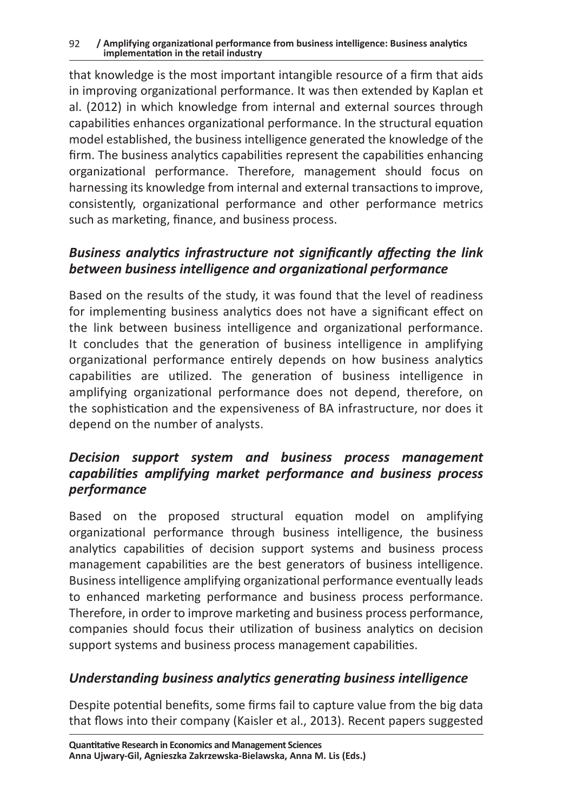#### 92 **/ Amplifying organizational performance from business intelligence: Business analytics implementation in the retail industry**

that knowledge is the most important intangible resource of a firm that aids in improving organizational performance. It was then extended by Kaplan et al. (2012) in which knowledge from internal and external sources through capabilities enhances organizational performance. In the structural equation model established, the business intelligence generated the knowledge of the firm. The business analytics capabilities represent the capabilities enhancing organizational performance. Therefore, management should focus on harnessing its knowledge from internal and external transactions to improve, consistently, organizational performance and other performance metrics such as marketing, finance, and business process.

#### *Business analytics infrastructure not significantly affecting the link between business intelligence and organizational performance*

Based on the results of the study, it was found that the level of readiness for implementing business analytics does not have a significant effect on the link between business intelligence and organizational performance. It concludes that the generation of business intelligence in amplifying organizational performance entirely depends on how business analytics capabilities are utilized. The generation of business intelligence in amplifying organizational performance does not depend, therefore, on the sophistication and the expensiveness of BA infrastructure, nor does it depend on the number of analysts.

#### *Decision support system and business process management capabilities amplifying market performance and business process performance*

Based on the proposed structural equation model on amplifying organizational performance through business intelligence, the business analytics capabilities of decision support systems and business process management capabilities are the best generators of business intelligence. Business intelligence amplifying organizational performance eventually leads to enhanced marketing performance and business process performance. Therefore, in order to improve marketing and business process performance, companies should focus their utilization of business analytics on decision support systems and business process management capabilities.

# *Understanding business analytics generating business intelligence*

Despite potential benefits, some firms fail to capture value from the big data that flows into their company (Kaisler et al., 2013). Recent papers suggested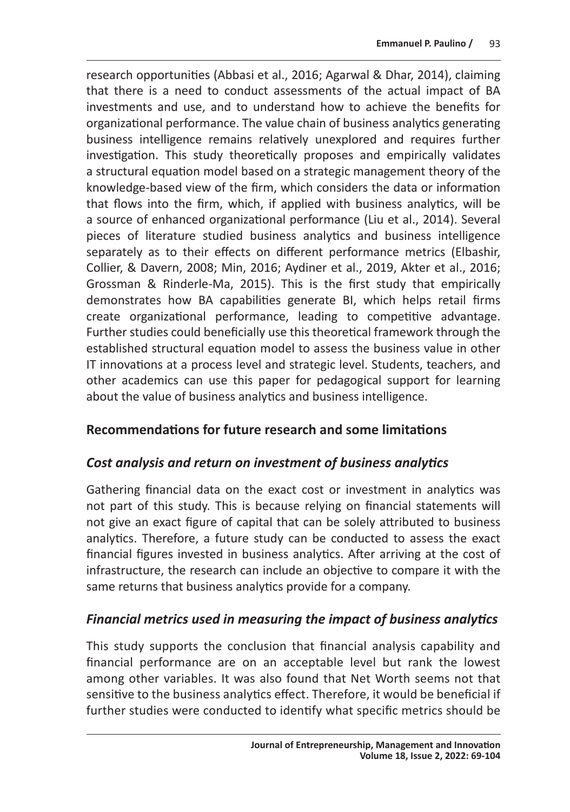research opportunities (Abbasi et al., 2016; Agarwal & Dhar, 2014), claiming that there is a need to conduct assessments of the actual impact of BA investments and use, and to understand how to achieve the benefits for organizational performance. The value chain of business analytics generating business intelligence remains relatively unexplored and requires further investigation. This study theoretically proposes and empirically validates a structural equation model based on a strategic management theory of the knowledge-based view of the firm, which considers the data or information that flows into the firm, which, if applied with business analytics, will be a source of enhanced organizational performance (Liu et al., 2014). Several pieces of literature studied business analytics and business intelligence separately as to their effects on different performance metrics (Elbashir, Collier, & Davern, 2008; Min, 2016; Aydiner et al., 2019, Akter et al., 2016; Grossman & Rinderle-Ma, 2015). This is the first study that empirically demonstrates how BA capabilities generate BI, which helps retail firms create organizational performance, leading to competitive advantage. Further studies could beneficially use this theoretical framework through the established structural equation model to assess the business value in other IT innovations at a process level and strategic level. Students, teachers, and other academics can use this paper for pedagogical support for learning about the value of business analytics and business intelligence.

#### **Recommendations for future research and some limitations**

#### *Cost analysis and return on investment of business analytics*

Gathering financial data on the exact cost or investment in analytics was not part of this study. This is because relying on financial statements will not give an exact figure of capital that can be solely attributed to business analytics. Therefore, a future study can be conducted to assess the exact financial figures invested in business analytics. After arriving at the cost of infrastructure, the research can include an objective to compare it with the same returns that business analytics provide for a company.

# *Financial metrics used in measuring the impact of business analytics*

This study supports the conclusion that financial analysis capability and financial performance are on an acceptable level but rank the lowest among other variables. It was also found that Net Worth seems not that sensitive to the business analytics effect. Therefore, it would be beneficial if further studies were conducted to identify what specific metrics should be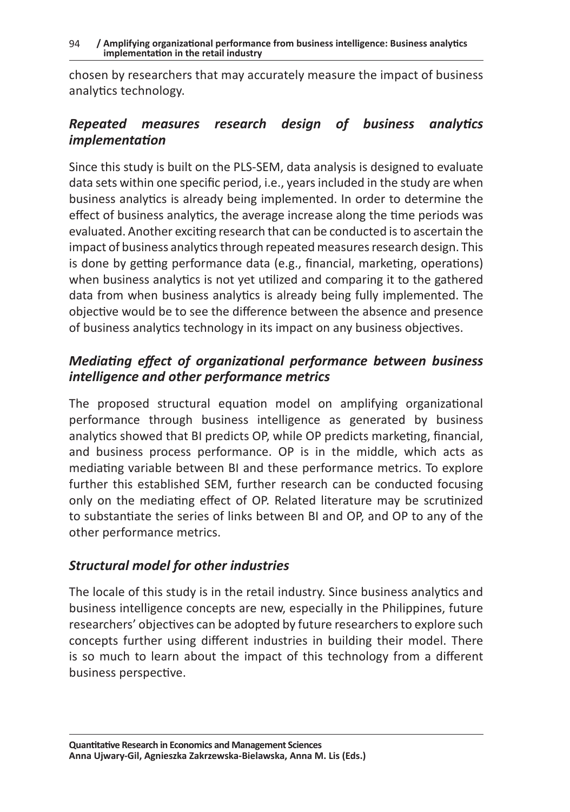chosen by researchers that may accurately measure the impact of business analytics technology.

#### *Repeated measures research design of business analytics implementation*

Since this study is built on the PLS-SEM, data analysis is designed to evaluate data sets within one specific period, i.e., years included in the study are when business analytics is already being implemented. In order to determine the effect of business analytics, the average increase along the time periods was evaluated. Another exciting research that can be conducted is to ascertain the impact of business analytics through repeated measures research design. This is done by getting performance data (e.g., financial, marketing, operations) when business analytics is not yet utilized and comparing it to the gathered data from when business analytics is already being fully implemented. The objective would be to see the difference between the absence and presence of business analytics technology in its impact on any business objectives.

# *Mediating effect of organizational performance between business intelligence and other performance metrics*

The proposed structural equation model on amplifying organizational performance through business intelligence as generated by business analytics showed that BI predicts OP, while OP predicts marketing, financial, and business process performance. OP is in the middle, which acts as mediating variable between BI and these performance metrics. To explore further this established SEM, further research can be conducted focusing only on the mediating effect of OP. Related literature may be scrutinized to substantiate the series of links between BI and OP, and OP to any of the other performance metrics.

# *Structural model for other industries*

The locale of this study is in the retail industry. Since business analytics and business intelligence concepts are new, especially in the Philippines, future researchers' objectives can be adopted by future researchers to explore such concepts further using different industries in building their model. There is so much to learn about the impact of this technology from a different business perspective.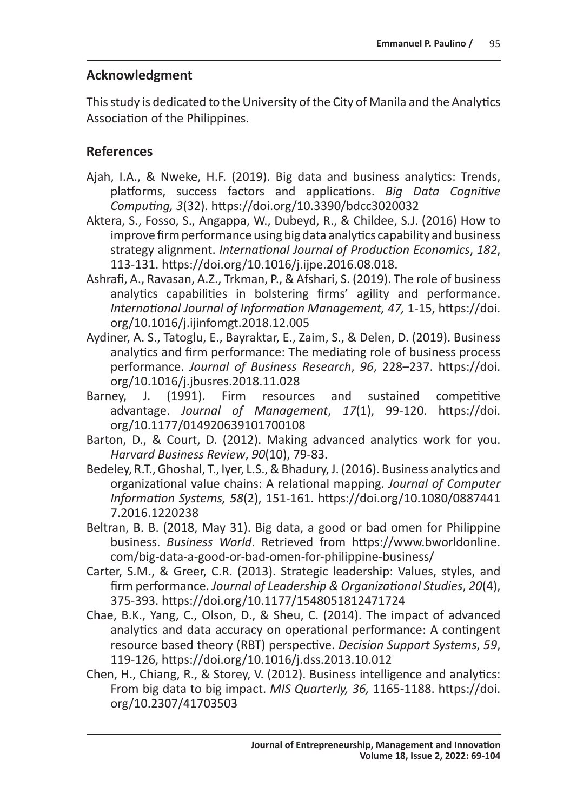#### **Acknowledgment**

This study is dedicated to the University of the City of Manila and the Analytics Association of the Philippines.

#### **References**

- Ajah, I.A., & Nweke, H.F. (2019). Big data and business analytics: Trends, platforms, success factors and applications. *Big Data Cognitive Computing, 3*(32). https://doi.org/10.3390/bdcc3020032
- Aktera, S., Fosso, S., Angappa, W., Dubeyd, R., & Childee, S.J. (2016) How to improve firm performance using big data analytics capability and business strategy alignment. *International Journal of Production Economics*, *182*, 113-131. https://doi.org/10.1016/j.ijpe.2016.08.018.
- Ashrafi, A., Ravasan, A.Z., Trkman, P., & Afshari, S. (2019). The role of business analytics capabilities in bolstering firms' agility and performance. *International Journal of Information Management, 47,* 1-15, https://doi. org/10.1016/j.ijinfomgt.2018.12.005
- Aydiner, A. S., Tatoglu, E., Bayraktar, E., Zaim, S., & Delen, D. (2019). Business analytics and firm performance: The mediating role of business process performance. *Journal of Business Research*, *96*, 228–237. https://doi. org/10.1016/j.jbusres.2018.11.028<br>Barnev. J. (1991). Firm resourc
- J. (1991). Firm resources and sustained competitive advantage. *Journal of Management*, *17*(1), 99-120. https://doi. org/10.1177/014920639101700108
- Barton, D., & Court, D. (2012). Making advanced analytics work for you. *Harvard Business Review*, *90*(10), 79-83.
- Bedeley, R.T., Ghoshal, T., Iyer, L.S., & Bhadury, J. (2016). Business analytics and organizational value chains: A relational mapping. *Journal of Computer Information Systems, 58*(2), 151-161. https://doi.org/10.1080/0887441 7.2016.1220238
- Beltran, B. B. (2018, May 31). Big data, a good or bad omen for Philippine business. *Business World*. Retrieved from https://www.bworldonline. com/big-data-a-good-or-bad-omen-for-philippine-business/
- Carter, S.M., & Greer, C.R. (2013). Strategic leadership: Values, styles, and firm performance. *Journal of Leadership & Organizational Studies*, *20*(4), 375-393. https://doi.org/10.1177/1548051812471724
- Chae, B.K., Yang, C., Olson, D., & Sheu, C. (2014). The impact of advanced analytics and data accuracy on operational performance: A contingent resource based theory (RBT) perspective. *Decision Support Systems*, *59*, 119-126, https://doi.org/10.1016/j.dss.2013.10.012
- Chen, H., Chiang, R., & Storey, V. (2012). Business intelligence and analytics: From big data to big impact. *MIS Quarterly, 36,* 1165-1188. https://doi. org/10.2307/41703503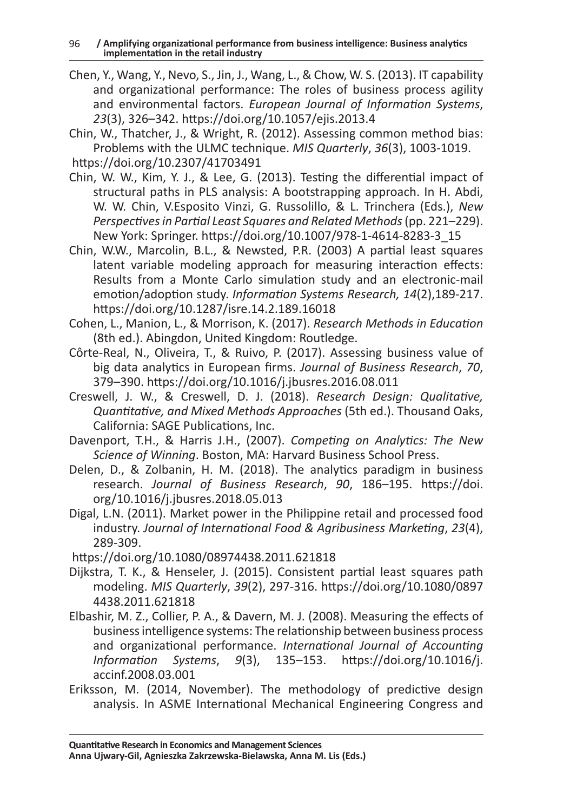Chen, Y., Wang, Y., Nevo, S., Jin, J., Wang, L., & Chow, W. S. (2013). IT capability and organizational performance: The roles of business process agility and environmental factors. *European Journal of Information Systems*, *23*(3), 326–342. https://doi.org/10.1057/ejis.2013.4

Chin, W., Thatcher, J., & Wright, R. (2012). Assessing common method bias: Problems with the ULMC technique. *MIS Quarterly*, *36*(3), 1003-1019. https://doi.org/10.2307/41703491

- Chin, W. W., Kim, Y. J., & Lee, G. (2013). Testing the differential impact of structural paths in PLS analysis: A bootstrapping approach. In H. Abdi, W. W. Chin, V.Esposito Vinzi, G. Russolillo, & L. Trinchera (Eds.), *New Perspectives in Partial Least Squares and Related Methods* (pp. 221–229). New York: Springer. https://doi.org/10.1007/978-1-4614-8283-3\_15
- Chin, W.W., Marcolin, B.L., & Newsted, P.R. (2003) A partial least squares latent variable modeling approach for measuring interaction effects: Results from a Monte Carlo simulation study and an electronic-mail emotion/adoption study. *Information Systems Research, 14*(2),189-217. https://doi.org/10.1287/isre.14.2.189.16018
- Cohen, L., Manion, L., & Morrison, K. (2017). *Research Methods in Education* (8th ed.). Abingdon, United Kingdom: Routledge.
- Côrte-Real, N., Oliveira, T., & Ruivo, P. (2017). Assessing business value of big data analytics in European firms. *Journal of Business Research*, *70*, 379–390. https://doi.org/10.1016/j.jbusres.2016.08.011
- Creswell, J. W., & Creswell, D. J. (2018). *Research Design: Qualitative, Quantitative, and Mixed Methods Approaches* (5th ed.). Thousand Oaks, California: SAGE Publications, Inc.
- Davenport, T.H., & Harris J.H., (2007). *Competing on Analytics: The New Science of Winning*. Boston, MA: Harvard Business School Press.
- Delen, D., & Zolbanin, H. M. (2018). The analytics paradigm in business research. *Journal of Business Research*, *90*, 186–195. https://doi. org/10.1016/j.jbusres.2018.05.013
- Digal, L.N. (2011). Market power in the Philippine retail and processed food industry. *Journal of International Food & Agribusiness Marketing*, *23*(4), 289-309.

https://doi.org/10.1080/08974438.2011.621818

- Dijkstra, T. K., & Henseler, J. (2015). Consistent partial least squares path modeling. *MIS Quarterly*, *39*(2), 297-316. https://doi.org/10.1080/0897 4438.2011.621818
- Elbashir, M. Z., Collier, P. A., & Davern, M. J. (2008). Measuring the effects of business intelligence systems: The relationship between business process and organizational performance. *International Journal of Accounting Information Systems*, *9*(3), 135–153. https://doi.org/10.1016/j. accinf.2008.03.001
- Eriksson, M. (2014, November). The methodology of predictive design analysis. In ASME International Mechanical Engineering Congress and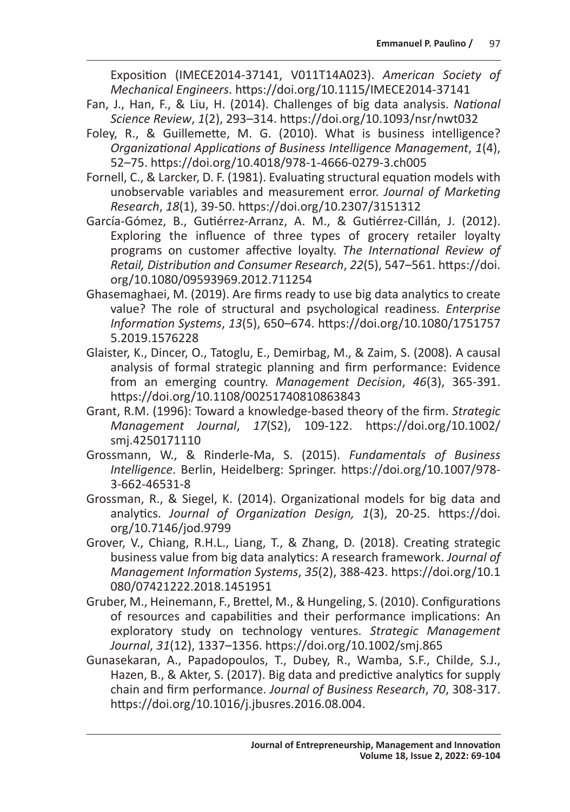Exposition (IMECE2014-37141, V011T14A023). *American Society of Mechanical Engineers*. https://doi.org/10.1115/IMECE2014-37141

- Fan, J., Han, F., & Liu, H. (2014). Challenges of big data analysis. *National Science Review*, *1*(2), 293–314. https://doi.org/10.1093/nsr/nwt032
- Foley, R., & Guillemette, M. G. (2010). What is business intelligence? *Organizational Applications of Business Intelligence Management*, *1*(4), 52–75. https://doi.org/10.4018/978-1-4666-0279-3.ch005
- Fornell, C., & Larcker, D. F. (1981). Evaluating structural equation models with unobservable variables and measurement error. *Journal of Marketing Research*, *18*(1), 39-50. https://doi.org/10.2307/3151312
- García-Gómez, B., Gutiérrez-Arranz, A. M., & Gutiérrez-Cillán, J. (2012). Exploring the influence of three types of grocery retailer loyalty programs on customer affective loyalty. *The International Review of Retail, Distribution and Consumer Research*, *22*(5), 547–561. https://doi. org/10.1080/09593969.2012.711254
- Ghasemaghaei, M. (2019). Are firms ready to use big data analytics to create value? The role of structural and psychological readiness. *Enterprise Information Systems*, *13*(5), 650–674. https://doi.org/10.1080/1751757 5.2019.1576228
- Glaister, K., Dincer, O., Tatoglu, E., Demirbag, M., & Zaim, S. (2008). A causal analysis of formal strategic planning and firm performance: Evidence from an emerging country. *Management Decision*, *46*(3), 365-391. https://doi.org/10.1108/00251740810863843
- Grant, R.M. (1996): Toward a knowledge-based theory of the firm. *Strategic Management Journal*, *17*(S2), 109-122. https://doi.org/10.1002/ smj.4250171110
- Grossmann, W., & Rinderle-Ma, S. (2015). *Fundamentals of Business Intelligence*. Berlin, Heidelberg: Springer. https://doi.org/10.1007/978- 3-662-46531-8
- Grossman, R., & Siegel, K. (2014). Organizational models for big data and analytics. *Journal of Organization Design, 1*(3), 20-25. https://doi. org/10.7146/jod.9799
- Grover, V., Chiang, R.H.L., Liang, T., & Zhang, D. (2018). Creating strategic business value from big data analytics: A research framework. *Journal of Management Information Systems*, *35*(2), 388-423. https://doi.org/10.1 080/07421222.2018.1451951
- Gruber, M., Heinemann, F., Brettel, M., & Hungeling, S. (2010). Configurations of resources and capabilities and their performance implications: An exploratory study on technology ventures. *Strategic Management Journal*, *31*(12), 1337–1356. https://doi.org/10.1002/smj.865
- Gunasekaran, A., Papadopoulos, T., Dubey, R., Wamba, S.F., Childe, S.J., Hazen, B., & Akter, S. (2017). Big data and predictive analytics for supply chain and firm performance. *Journal of Business Research*, *70*, 308-317. https://doi.org/10.1016/j.jbusres.2016.08.004.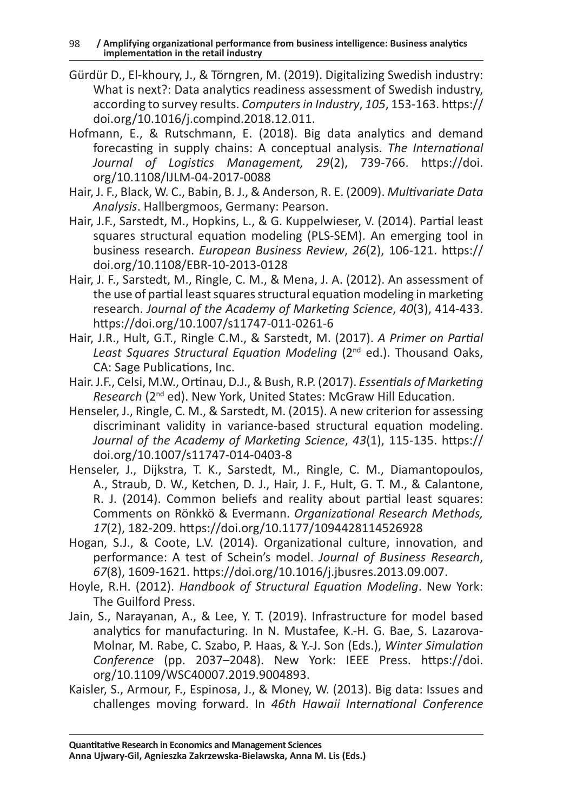- Gürdür D., El-khoury, J., & Törngren, M. (2019). Digitalizing Swedish industry: What is next?: Data analytics readiness assessment of Swedish industry, according to survey results. *Computers in Industry*, *105*, 153-163. https:// doi.org/10.1016/j.compind.2018.12.011.
- Hofmann, E., & Rutschmann, E. (2018). Big data analytics and demand forecasting in supply chains: A conceptual analysis. *The International Journal of Logistics Management, 29*(2), 739-766. https://doi. org/10.1108/IJLM-04-2017-0088
- Hair, J. F., Black, W. C., Babin, B. J., & Anderson, R. E. (2009). *Multivariate Data Analysis*. Hallbergmoos, Germany: Pearson.
- Hair, J.F., Sarstedt, M., Hopkins, L., & G. Kuppelwieser, V. (2014). Partial least squares structural equation modeling (PLS-SEM). An emerging tool in business research. *European Business Review*, *26*(2), 106-121. https:// doi.org/10.1108/EBR-10-2013-0128
- Hair, J. F., Sarstedt, M., Ringle, C. M., & Mena, J. A. (2012). An assessment of the use of partial least squares structural equation modeling in marketing research. *Journal of the Academy of Marketing Science*, *40*(3), 414-433. https://doi.org/10.1007/s11747-011-0261-6
- Hair, J.R., Hult, G.T., Ringle C.M., & Sarstedt, M. (2017). *A Primer on Partial*  Least Squares Structural Equation Modeling (2<sup>nd</sup> ed.). Thousand Oaks, CA: Sage Publications, Inc.
- Hair. J.F., Celsi, M.W., Ortinau, D.J., & Bush, R.P. (2017). *Essentials of Marketing Research* (2nd ed). New York, United States: McGraw Hill Education.
- Henseler, J., Ringle, C. M., & Sarstedt, M. (2015). A new criterion for assessing discriminant validity in variance-based structural equation modeling. *Journal of the Academy of Marketing Science*, *43*(1), 115-135. https:// doi.org/10.1007/s11747-014-0403-8
- Henseler, J., Dijkstra, T. K., Sarstedt, M., Ringle, C. M., Diamantopoulos, A., Straub, D. W., Ketchen, D. J., Hair, J. F., Hult, G. T. M., & Calantone, R. J. (2014). Common beliefs and reality about partial least squares: Comments on Rönkkö & Evermann. *Organizational Research Methods, 17*(2), 182-209. https://doi.org/10.1177/1094428114526928
- Hogan, S.J., & Coote, L.V. (2014). Organizational culture, innovation, and performance: A test of Schein's model. *Journal of Business Research*, *67*(8), 1609-1621. https://doi.org/10.1016/j.jbusres.2013.09.007.
- Hoyle, R.H. (2012). *Handbook of Structural Equation Modeling*. New York: The Guilford Press.
- Jain, S., Narayanan, A., & Lee, Y. T. (2019). Infrastructure for model based analytics for manufacturing. In N. Mustafee, K.-H. G. Bae, S. Lazarova-Molnar, M. Rabe, C. Szabo, P. Haas, & Y.-J. Son (Eds.), *Winter Simulation Conference* (pp. 2037–2048). New York: IEEE Press. https://doi. org/10.1109/WSC40007.2019.9004893.
- Kaisler, S., Armour, F., Espinosa, J., & Money, W. (2013). Big data: Issues and challenges moving forward. In *46th Hawaii International Conference*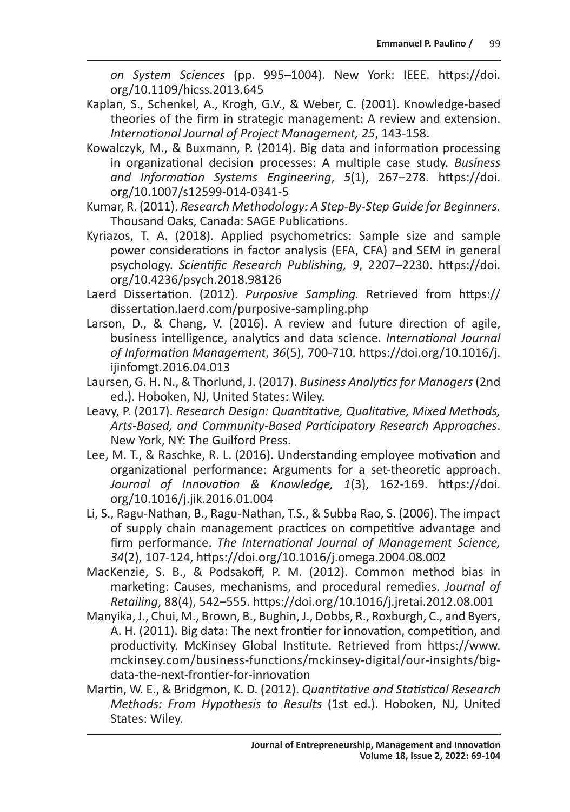*on System Sciences* (pp. 995–1004). New York: IEEE. https://doi. org/10.1109/hicss.2013.645

- Kaplan, S., Schenkel, A., Krogh, G.V., & Weber, C. (2001). Knowledge-based theories of the firm in strategic management: A review and extension. *International Journal of Project Management, 25*, 143-158.
- Kowalczyk, M., & Buxmann, P. (2014). Big data and information processing in organizational decision processes: A multiple case study. *Business and Information Systems Engineering*, *5*(1), 267–278. https://doi. org/10.1007/s12599-014-0341-5
- Kumar, R. (2011). *Research Methodology: A Step-By-Step Guide for Beginners.* Thousand Oaks, Canada: SAGE Publications.
- Kyriazos, T. A. (2018). Applied psychometrics: Sample size and sample power considerations in factor analysis (EFA, CFA) and SEM in general psychology. *Scientific Research Publishing, 9*, 2207–2230. https://doi. org/10.4236/psych.2018.98126
- Laerd Dissertation. (2012). *Purposive Sampling.* Retrieved from https:// dissertation.laerd.com/purposive-sampling.php
- Larson, D., & Chang, V. (2016). A review and future direction of agile, business intelligence, analytics and data science. *International Journal of Information Management*, *36*(5), 700-710. https://doi.org/10.1016/j. ijinfomgt.2016.04.013
- Laursen, G. H. N., & Thorlund, J. (2017). *Business Analytics for Managers* (2nd ed.). Hoboken, NJ, United States: Wiley.
- Leavy, P. (2017). *Research Design: Quantitative, Qualitative, Mixed Methods, Arts-Based, and Community-Based Participatory Research Approaches*. New York, NY: The Guilford Press.
- Lee, M. T., & Raschke, R. L. (2016). Understanding employee motivation and organizational performance: Arguments for a set-theoretic approach. *Journal of Innovation & Knowledge, 1*(3), 162-169. https://doi. org/10.1016/j.jik.2016.01.004
- Li, S., Ragu-Nathan, B., Ragu-Nathan, T.S., & Subba Rao, S. (2006). The impact of supply chain management practices on competitive advantage and firm performance. *The International Journal of Management Science, 34*(2), 107-124, https://doi.org/10.1016/j.omega.2004.08.002
- MacKenzie, S. B., & Podsakoff, P. M. (2012). Common method bias in marketing: Causes, mechanisms, and procedural remedies. *Journal of Retailing*, 88(4), 542–555. https://doi.org/10.1016/j.jretai.2012.08.001
- Manyika, J., Chui, M., Brown, B., Bughin, J., Dobbs, R., Roxburgh, C., and Byers, A. H. (2011). Big data: The next frontier for innovation, competition, and productivity. McKinsey Global Institute. Retrieved from https://www. mckinsey.com/business-functions/mckinsey-digital/our-insights/bigdata-the-next-frontier-for-innovation
- Martin, W. E., & Bridgmon, K. D. (2012). *Quantitative and Statistical Research Methods: From Hypothesis to Results* (1st ed.). Hoboken, NJ, United States: Wiley.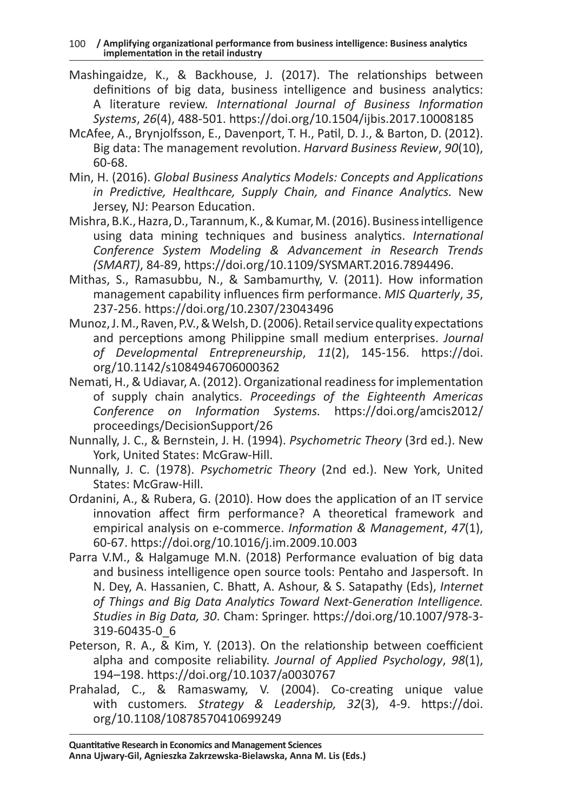- Mashingaidze, K., & Backhouse, J. (2017). The relationships between definitions of big data, business intelligence and business analytics: A literature review. *International Journal of Business Information Systems*, *26*(4), 488-501. https://doi.org/10.1504/ijbis.2017.10008185
- McAfee, A., Brynjolfsson, E., Davenport, T. H., Patil, D. J., & Barton, D. (2012). Big data: The management revolution. *Harvard Business Review*, *90*(10), 60-68.
- Min, H. (2016). *Global Business Analytics Models: Concepts and Applications in Predictive, Healthcare, Supply Chain, and Finance Analytics.* New Jersey, NJ: Pearson Education.
- Mishra, B.K., Hazra, D., Tarannum, K., & Kumar, M. (2016). Business intelligence using data mining techniques and business analytics. *International Conference System Modeling & Advancement in Research Trends (SMART)*, 84-89, https://doi.org/10.1109/SYSMART.2016.7894496.
- Mithas, S., Ramasubbu, N., & Sambamurthy, V. (2011). How information management capability influences firm performance. *MIS Quarterly*, *35*, 237-256. https://doi.org/10.2307/23043496
- Munoz, J. M., Raven, P.V., & Welsh, D. (2006). Retail service quality expectations and perceptions among Philippine small medium enterprises. *Journal of Developmental Entrepreneurship*, *11*(2), 145-156. https://doi. org/10.1142/s1084946706000362
- Nemati, H., & Udiavar, A. (2012). Organizational readiness for implementation of supply chain analytics. *Proceedings of the Eighteenth Americas Conference on Information Systems.* https://doi.org/amcis2012/ proceedings/DecisionSupport/26
- Nunnally, J. C., & Bernstein, J. H. (1994). *Psychometric Theory* (3rd ed.). New York, United States: McGraw-Hill.
- Nunnally, J. C. (1978). *Psychometric Theory* (2nd ed.). New York, United States: McGraw-Hill.
- Ordanini, A., & Rubera, G. (2010). How does the application of an IT service innovation affect firm performance? A theoretical framework and empirical analysis on e-commerce. *Information & Management*, *47*(1), 60-67. https://doi.org/10.1016/j.im.2009.10.003
- Parra V.M., & Halgamuge M.N. (2018) Performance evaluation of big data and business intelligence open source tools: Pentaho and Jaspersoft. In N. Dey, A. Hassanien, C. Bhatt, A. Ashour, & S. Satapathy (Eds), *Internet of Things and Big Data Analytics Toward Next-Generation Intelligence. Studies in Big Data, 30*. Cham: Springer. https://doi.org/10.1007/978-3- 319-60435-0\_6
- Peterson, R. A., & Kim, Y. (2013). On the relationship between coefficient alpha and composite reliability. *Journal of Applied Psychology*, *98*(1), 194–198. https://doi.org/10.1037/a0030767
- Prahalad, C., & Ramaswamy, V. (2004). Co-creating unique value with customers*. Strategy & Leadership, 32*(3), 4-9. https://doi. org/10.1108/10878570410699249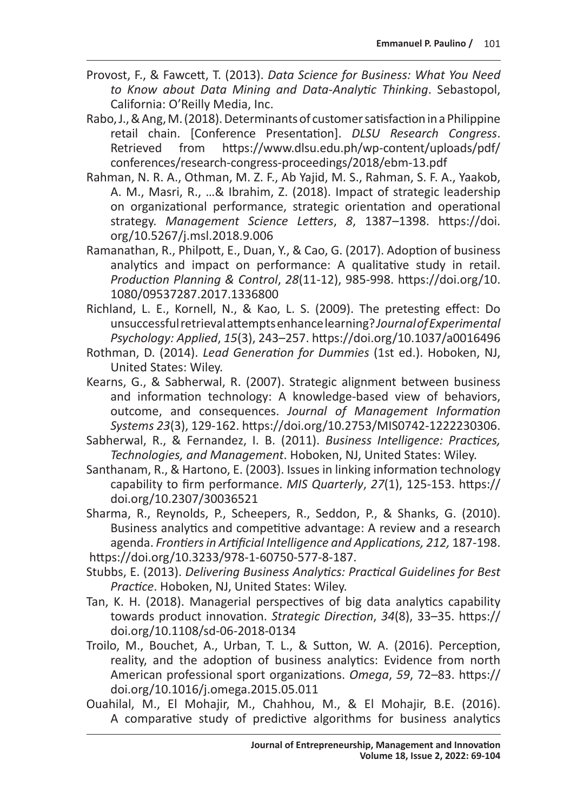- Provost, F., & Fawcett, T. (2013). *Data Science for Business: What You Need to Know about Data Mining and Data-Analytic Thinking*. Sebastopol, California: O'Reilly Media, Inc.
- Rabo, J., & Ang, M. (2018). Determinants of customer satisfaction in aPhilippine retail chain. [Conference Presentation]. *DLSU Research Congress*. https://www.dlsu.edu.ph/wp-content/uploads/pdf/ conferences/research-congress-proceedings/2018/ebm-13.pdf
- Rahman, N. R. A., Othman, M. Z. F., Ab Yajid, M. S., Rahman, S. F. A., Yaakob, A. M., Masri, R., …& Ibrahim, Z. (2018). Impact of strategic leadership on organizational performance, strategic orientation and operational strategy. *Management Science Letters*, *8*, 1387–1398. https://doi. org/10.5267/j.msl.2018.9.006
- Ramanathan, R., Philpott, E., Duan, Y., & Cao, G. (2017). Adoption of business analytics and impact on performance: A qualitative study in retail. *Production Planning & Control*, *28*(11-12), 985-998. https://doi.org/10. 1080/09537287.2017.1336800
- Richland, L. E., Kornell, N., & Kao, L. S. (2009). The pretesting effect: Do unsuccessful retrieval attempts enhance learning? *Journal of Experimental Psychology: Applied*, *15*(3), 243–257. https://doi.org/10.1037/a0016496
- Rothman, D. (2014). *Lead Generation for Dummies* (1st ed.). Hoboken, NJ, United States: Wiley.
- Kearns, G., & Sabherwal, R. (2007). Strategic alignment between business and information technology: A knowledge-based view of behaviors, outcome, and consequences. *Journal of Management Information Systems 23*(3), 129-162. https://doi.org/10.2753/MIS0742-1222230306.
- Sabherwal, R., & Fernandez, I. B. (2011). *Business Intelligence: Practices, Technologies, and Management*. Hoboken, NJ, United States: Wiley.
- Santhanam, R., & Hartono, E. (2003). Issues in linking information technology capability to firm performance. *MIS Quarterly*, *27*(1), 125-153. https:// doi.org/10.2307/30036521
- Sharma, R., Reynolds, P., Scheepers, R., Seddon, P., & Shanks, G. (2010). Business analytics and competitive advantage: A review and a research agenda. *Frontiers in Artificial Intelligence and Applications, 212,* 187-198. https://doi.org/10.3233/978-1-60750-577-8-187.
- Stubbs, E. (2013). *Delivering Business Analytics: Practical Guidelines for Best Practice*. Hoboken, NJ, United States: Wiley.
- Tan, K. H. (2018). Managerial perspectives of big data analytics capability towards product innovation. *Strategic Direction*, *34*(8), 33–35. https:// doi.org/10.1108/sd-06-2018-0134
- Troilo, M., Bouchet, A., Urban, T. L., & Sutton, W. A. (2016). Perception, reality, and the adoption of business analytics: Evidence from north American professional sport organizations. *Omega*, *59*, 72–83. https:// doi.org/10.1016/j.omega.2015.05.011
- Ouahilal, M., El Mohajir, M., Chahhou, M., & El Mohajir, B.E. (2016). A comparative study of predictive algorithms for business analytics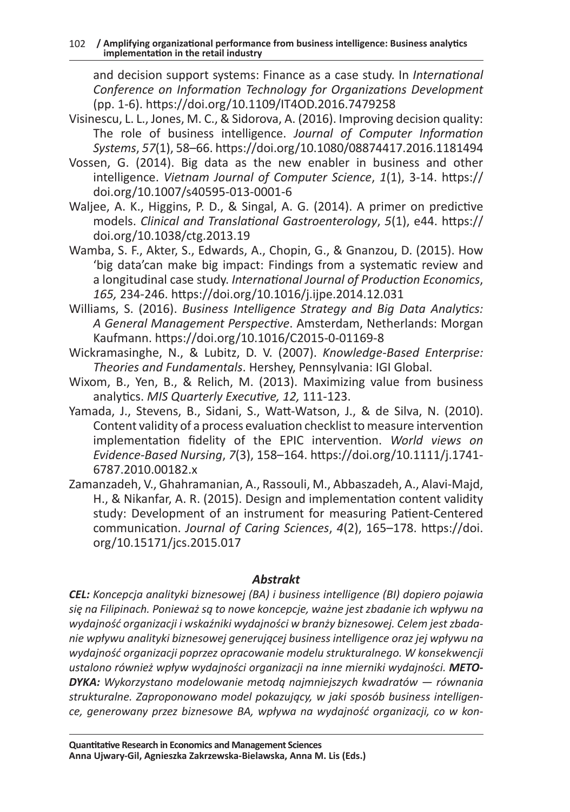and decision support systems: Finance as a case study. In *International Conference on Information Technology for Organizations Development*  (pp. 1-6). https://doi.org/10.1109/IT4OD.2016.7479258

- Visinescu, L. L., Jones, M. C., & Sidorova, A. (2016). Improving decision quality: The role of business intelligence. *Journal of Computer Information Systems*, *57*(1), 58–66. https://doi.org/10.1080/08874417.2016.1181494
- Vossen, G. (2014). Big data as the new enabler in business and other intelligence. *Vietnam Journal of Computer Science*, *1*(1), 3-14. https:// doi.org/10.1007/s40595-013-0001-6
- Waljee, A. K., Higgins, P. D., & Singal, A. G. (2014). A primer on predictive models. *Clinical and Translational Gastroenterology*, *5*(1), e44. https:// doi.org/10.1038/ctg.2013.19
- Wamba, S. F., Akter, S., Edwards, A., Chopin, G., & Gnanzou, D. (2015). How 'big data'can make big impact: Findings from a systematic review and a longitudinal case study. *International Journal of Production Economics*, *165,* 234-246. https://doi.org/10.1016/j.ijpe.2014.12.031
- Williams, S. (2016). *Business Intelligence Strategy and Big Data Analytics: A General Management Perspective*. Amsterdam, Netherlands: Morgan Kaufmann. https://doi.org/10.1016/C2015-0-01169-8
- Wickramasinghe, N., & Lubitz, D. V. (2007). *Knowledge-Based Enterprise: Theories and Fundamentals*. Hershey, Pennsylvania: IGI Global.
- Wixom, B., Yen, B., & Relich, M. (2013). Maximizing value from business analytics. *MIS Quarterly Executive, 12,* 111-123.
- Yamada, J., Stevens, B., Sidani, S., Watt-Watson, J., & de Silva, N. (2010). Content validity of a process evaluation checklist to measure intervention implementation fidelity of the EPIC intervention. *World views on Evidence-Based Nursing*, *7*(3), 158–164. https://doi.org/10.1111/j.1741- 6787.2010.00182.x
- Zamanzadeh, V., Ghahramanian, A., Rassouli, M., Abbaszadeh, A., Alavi-Majd, H., & Nikanfar, A. R. (2015). Design and implementation content validity study: Development of an instrument for measuring Patient-Centered communication. *Journal of Caring Sciences*, *4*(2), 165–178. https://doi. org/10.15171/jcs.2015.017

#### *Abstrakt*

*CEL: Koncepcja analityki biznesowej (BA) i business intelligence (BI) dopiero pojawia się na Filipinach. Ponieważ są to nowe koncepcje, ważne jest zbadanie ich wpływu na wydajność organizacji i wskaźniki wydajności w branży biznesowej. Celem jest zbadanie wpływu analityki biznesowej generującej business intelligence oraz jej wpływu na wydajność organizacji poprzez opracowanie modelu strukturalnego. W konsekwencji ustalono również wpływ wydajności organizacji na inne mierniki wydajności. METO-DYKA: Wykorzystano modelowanie metodą najmniejszych kwadratów — równania strukturalne. Zaproponowano model pokazujący, w jaki sposób business intelligence, generowany przez biznesowe BA, wpływa na wydajność organizacji, co w kon-*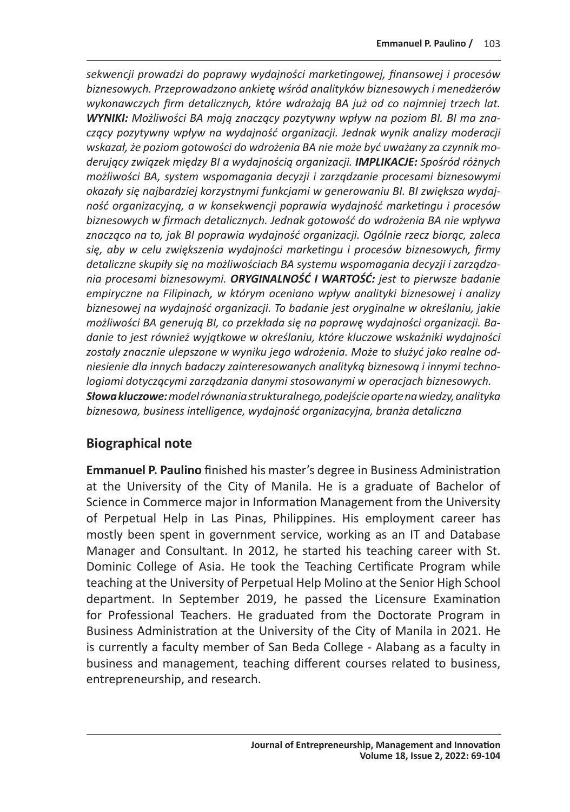*sekwencji prowadzi do poprawy wydajności marketingowej, finansowej i procesów biznesowych. Przeprowadzono ankietę wśród analityków biznesowych i menedżerów wykonawczych firm detalicznych, które wdrażają BA już od co najmniej trzech lat. WYNIKI: Możliwości BA mają znaczący pozytywny wpływ na poziom BI. BI ma znaczący pozytywny wpływ na wydajność organizacji. Jednak wynik analizy moderacji wskazał, że poziom gotowości do wdrożenia BA nie może być uważany za czynnik moderujący związek między BI a wydajnością organizacji. IMPLIKACJE: Spośród różnych możliwości BA, system wspomagania decyzji i zarządzanie procesami biznesowymi okazały się najbardziej korzystnymi funkcjami w generowaniu BI. BI zwiększa wydajność organizacyjną, a w konsekwencji poprawia wydajność marketingu i procesów biznesowych w firmach detalicznych. Jednak gotowość do wdrożenia BA nie wpływa znacząco na to, jak BI poprawia wydajność organizacji. Ogólnie rzecz biorąc, zaleca się, aby w celu zwiększenia wydajności marketingu i procesów biznesowych, firmy detaliczne skupiły się na możliwościach BA systemu wspomagania decyzji i zarządzania procesami biznesowymi. ORYGINALNOŚĆ I WARTOŚĆ: jest to pierwsze badanie empiryczne na Filipinach, w którym oceniano wpływ analityki biznesowej i analizy biznesowej na wydajność organizacji. To badanie jest oryginalne w określaniu, jakie możliwości BA generują BI, co przekłada się na poprawę wydajności organizacji. Badanie to jest również wyjątkowe w określaniu, które kluczowe wskaźniki wydajności zostały znacznie ulepszone w wyniku jego wdrożenia. Może to służyć jako realne odniesienie dla innych badaczy zainteresowanych analityką biznesową i innymi technologiami dotyczącymi zarządzania danymi stosowanymi w operacjach biznesowych. Słowa kluczowe: model równania strukturalnego, podejście oparte na wiedzy, analityka biznesowa, business intelligence, wydajność organizacyjna, branża detaliczna*

# **Biographical note**

**Emmanuel P. Paulino** finished his master's degree in Business Administration at the University of the City of Manila. He is a graduate of Bachelor of Science in Commerce major in Information Management from the University of Perpetual Help in Las Pinas, Philippines. His employment career has mostly been spent in government service, working as an IT and Database Manager and Consultant. In 2012, he started his teaching career with St. Dominic College of Asia. He took the Teaching Certificate Program while teaching at the University of Perpetual Help Molino at the Senior High School department. In September 2019, he passed the Licensure Examination for Professional Teachers. He graduated from the Doctorate Program in Business Administration at the University of the City of Manila in 2021. He is currently a faculty member of San Beda College - Alabang as a faculty in business and management, teaching different courses related to business, entrepreneurship, and research.